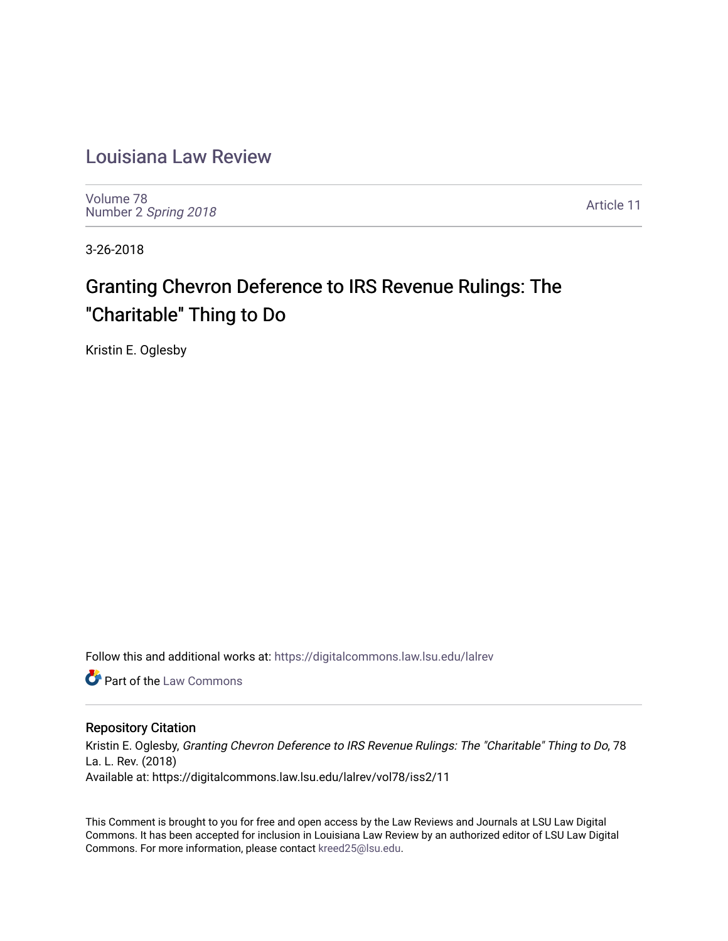# [Louisiana Law Review](https://digitalcommons.law.lsu.edu/lalrev)

[Volume 78](https://digitalcommons.law.lsu.edu/lalrev/vol78) Number 2 [Spring 2018](https://digitalcommons.law.lsu.edu/lalrev/vol78/iss2) 

[Article 11](https://digitalcommons.law.lsu.edu/lalrev/vol78/iss2/11) 

3-26-2018

# Granting Chevron Deference to IRS Revenue Rulings: The "Charitable" Thing to Do

Kristin E. Oglesby

Follow this and additional works at: [https://digitalcommons.law.lsu.edu/lalrev](https://digitalcommons.law.lsu.edu/lalrev?utm_source=digitalcommons.law.lsu.edu%2Flalrev%2Fvol78%2Fiss2%2F11&utm_medium=PDF&utm_campaign=PDFCoverPages)

**C** Part of the [Law Commons](http://network.bepress.com/hgg/discipline/578?utm_source=digitalcommons.law.lsu.edu%2Flalrev%2Fvol78%2Fiss2%2F11&utm_medium=PDF&utm_campaign=PDFCoverPages)

## Repository Citation

Kristin E. Oglesby, Granting Chevron Deference to IRS Revenue Rulings: The "Charitable" Thing to Do, 78 La. L. Rev. (2018) Available at: https://digitalcommons.law.lsu.edu/lalrev/vol78/iss2/11

This Comment is brought to you for free and open access by the Law Reviews and Journals at LSU Law Digital Commons. It has been accepted for inclusion in Louisiana Law Review by an authorized editor of LSU Law Digital Commons. For more information, please contact [kreed25@lsu.edu](mailto:kreed25@lsu.edu).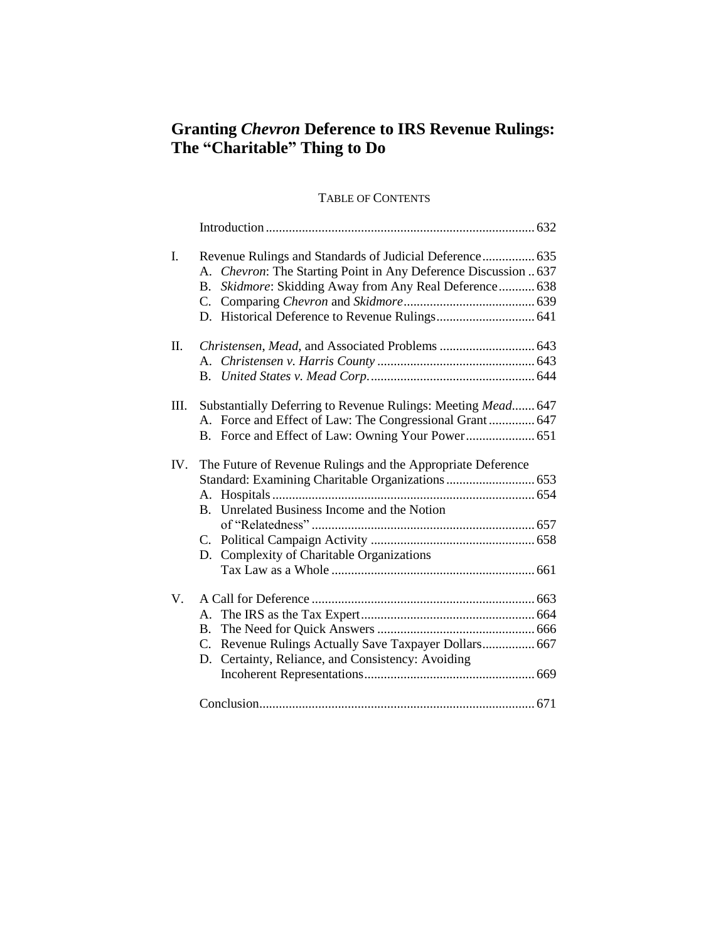## **Granting** *Chevron* **Deference to IRS Revenue Rulings: The "Charitable" Thing to Do**

## TABLE OF CONTENTS

| I.  | Revenue Rulings and Standards of Judicial Deference 635<br>A. Chevron: The Starting Point in Any Deference Discussion  637<br>Skidmore: Skidding Away from Any Real Deference 638<br><b>B.</b><br>$C_{\cdot}$ |  |
|-----|---------------------------------------------------------------------------------------------------------------------------------------------------------------------------------------------------------------|--|
| Π.  | Christensen, Mead, and Associated Problems  643                                                                                                                                                               |  |
| Ш.  | Substantially Deferring to Revenue Rulings: Meeting Mead 647<br>A. Force and Effect of Law: The Congressional Grant  647                                                                                      |  |
| IV. | The Future of Revenue Rulings and the Appropriate Deference<br>B. Unrelated Business Income and the Notion<br>C.<br>D. Complexity of Charitable Organizations                                                 |  |
| V.  | А.<br><b>B.</b><br>Revenue Rulings Actually Save Taxpayer Dollars 667<br>C.<br>Certainty, Reliance, and Consistency: Avoiding<br>D.                                                                           |  |
|     |                                                                                                                                                                                                               |  |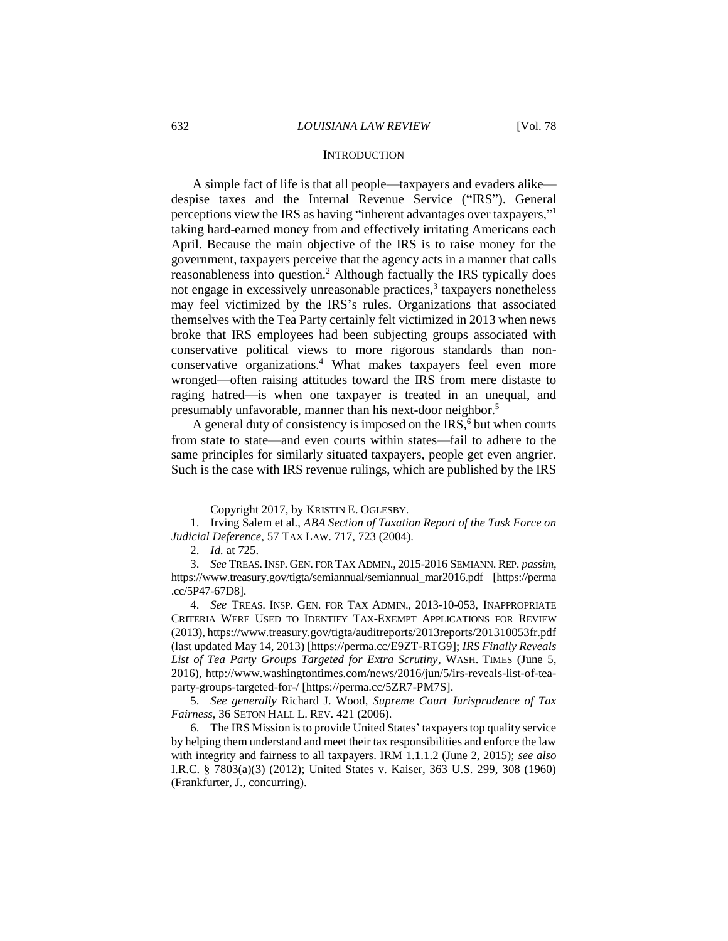#### **INTRODUCTION**

A simple fact of life is that all people—taxpayers and evaders alike despise taxes and the Internal Revenue Service ("IRS"). General perceptions view the IRS as having "inherent advantages over taxpayers,"<sup>1</sup> taking hard-earned money from and effectively irritating Americans each April. Because the main objective of the IRS is to raise money for the government, taxpayers perceive that the agency acts in a manner that calls reasonableness into question.<sup>2</sup> Although factually the IRS typically does not engage in excessively unreasonable practices,<sup>3</sup> taxpayers nonetheless may feel victimized by the IRS's rules. Organizations that associated themselves with the Tea Party certainly felt victimized in 2013 when news broke that IRS employees had been subjecting groups associated with conservative political views to more rigorous standards than nonconservative organizations.<sup>4</sup> What makes taxpayers feel even more wronged—often raising attitudes toward the IRS from mere distaste to raging hatred—is when one taxpayer is treated in an unequal, and presumably unfavorable, manner than his next-door neighbor.<sup>5</sup>

A general duty of consistency is imposed on the  $IRS$ ,  $6$  but when courts from state to state—and even courts within states—fail to adhere to the same principles for similarly situated taxpayers, people get even angrier. Such is the case with IRS revenue rulings, which are published by the IRS

Copyright 2017, by KRISTIN E. OGLESBY.

<sup>1.</sup> Irving Salem et al., *ABA Section of Taxation Report of the Task Force on Judicial Deference*, 57 TAX LAW. 717, 723 (2004).

<sup>2.</sup> *Id.* at 725.

<sup>3.</sup> *See* TREAS. INSP. GEN. FOR TAX ADMIN., 2015-2016 SEMIANN. REP. *passim*, https://www.treasury.gov/tigta/semiannual/semiannual\_mar2016.pdf [https://perma .cc/5P47-67D8].

<sup>4.</sup> *See* TREAS. INSP. GEN. FOR TAX ADMIN., 2013-10-053, INAPPROPRIATE CRITERIA WERE USED TO IDENTIFY TAX-EXEMPT APPLICATIONS FOR REVIEW (2013), https://www.treasury.gov/tigta/auditreports/2013reports/201310053fr.pdf (last updated May 14, 2013) [https://perma.cc/E9ZT-RTG9]; *IRS Finally Reveals List of Tea Party Groups Targeted for Extra Scrutiny*, WASH. TIMES (June 5, 2016), http://www.washingtontimes.com/news/2016/jun/5/irs-reveals-list-of-teaparty-groups-targeted-for-/ [https://perma.cc/5ZR7-PM7S].

<sup>5.</sup> *See generally* Richard J. Wood, *Supreme Court Jurisprudence of Tax Fairness*, 36 SETON HALL L. REV. 421 (2006).

<sup>6.</sup> The IRS Mission is to provide United States' taxpayers top quality service by helping them understand and meet their tax responsibilities and enforce the law with integrity and fairness to all taxpayers. IRM 1.1.1.2 (June 2, 2015); *see also* I.R.C. § 7803(a)(3) (2012); United States v. Kaiser, 363 U.S. 299, 308 (1960) (Frankfurter, J., concurring).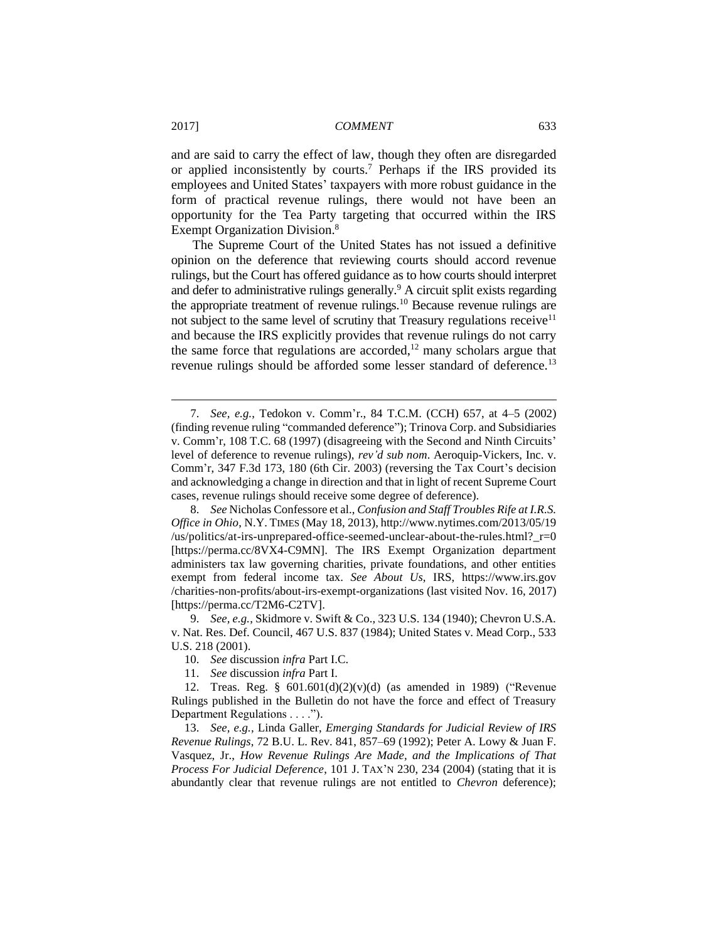and are said to carry the effect of law, though they often are disregarded or applied inconsistently by courts.<sup>7</sup> Perhaps if the IRS provided its employees and United States' taxpayers with more robust guidance in the form of practical revenue rulings, there would not have been an opportunity for the Tea Party targeting that occurred within the IRS Exempt Organization Division.<sup>8</sup>

The Supreme Court of the United States has not issued a definitive opinion on the deference that reviewing courts should accord revenue rulings, but the Court has offered guidance as to how courts should interpret and defer to administrative rulings generally.<sup>9</sup> A circuit split exists regarding the appropriate treatment of revenue rulings.<sup>10</sup> Because revenue rulings are not subject to the same level of scrutiny that Treasury regulations receive<sup>11</sup> and because the IRS explicitly provides that revenue rulings do not carry the same force that regulations are accorded, $12$  many scholars argue that revenue rulings should be afforded some lesser standard of deference.<sup>13</sup>

9. *See, e.g.*, Skidmore v. Swift & Co., 323 U.S. 134 (1940); Chevron U.S.A. v. Nat. Res. Def. Council, 467 U.S. 837 (1984); United States v. Mead Corp., 533 U.S. 218 (2001).

10. *See* discussion *infra* Part I.C.

11. *See* discussion *infra* Part I.

12. Treas. Reg. § 601.601(d)(2)(v)(d) (as amended in 1989) ("Revenue Rulings published in the Bulletin do not have the force and effect of Treasury Department Regulations . . . .").

13. *See, e.g.*, Linda Galler, *Emerging Standards for Judicial Review of IRS Revenue Rulings*, 72 B.U. L. Rev. 841, 857–69 (1992); Peter A. Lowy & Juan F. Vasquez, Jr., *How Revenue Rulings Are Made, and the Implications of That Process For Judicial Deference*, 101 J. TAX'N 230, 234 (2004) (stating that it is abundantly clear that revenue rulings are not entitled to *Chevron* deference);

<sup>7.</sup> *See, e.g.*, Tedokon v. Comm'r., 84 T.C.M. (CCH) 657, at 4–5 (2002) (finding revenue ruling "commanded deference"); Trinova Corp. and Subsidiaries v. Comm'r, 108 T.C. 68 (1997) (disagreeing with the Second and Ninth Circuits' level of deference to revenue rulings), *rev'd sub nom*. Aeroquip-Vickers, Inc. v. Comm'r, 347 F.3d 173, 180 (6th Cir. 2003) (reversing the Tax Court's decision and acknowledging a change in direction and that in light of recent Supreme Court cases, revenue rulings should receive some degree of deference).

<sup>8.</sup> *See* Nicholas Confessore et al., *Confusion and Staff Troubles Rife at I.R.S. Office in Ohio*, N.Y. TIMES (May 18, 2013), http://www.nytimes.com/2013/05/19 /us/politics/at-irs-unprepared-office-seemed-unclear-about-the-rules.html?\_r=0 [https://perma.cc/8VX4-C9MN]. The IRS Exempt Organization department administers tax law governing charities, private foundations, and other entities exempt from federal income tax. *See About Us*, IRS, https://www.irs.gov /charities-non-profits/about-irs-exempt-organizations (last visited Nov. 16, 2017) [https://perma.cc/T2M6-C2TV].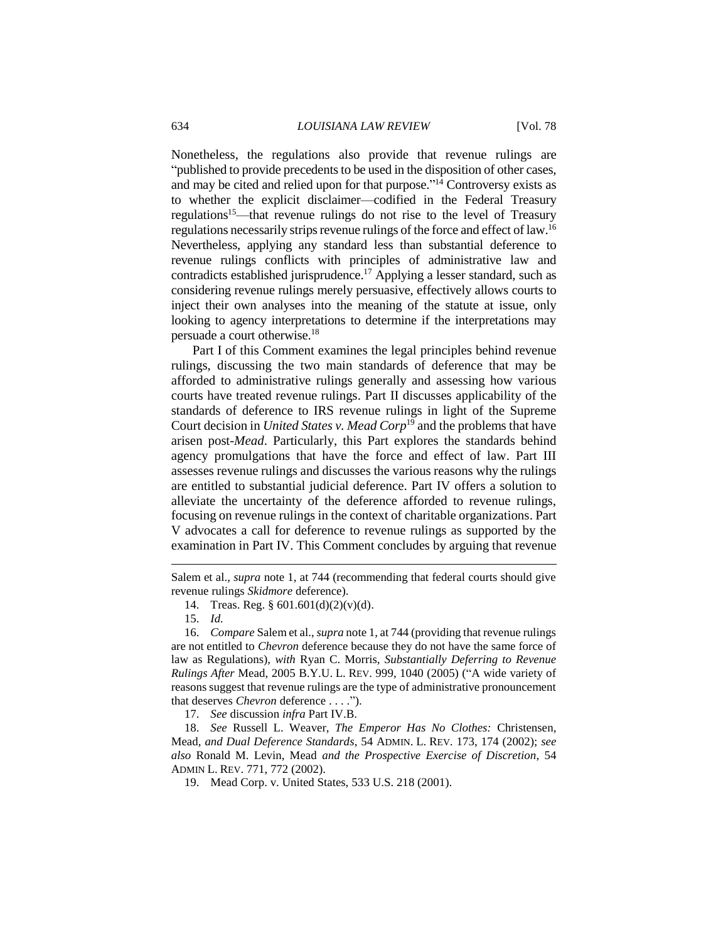Nonetheless, the regulations also provide that revenue rulings are "published to provide precedents to be used in the disposition of other cases, and may be cited and relied upon for that purpose."<sup>14</sup> Controversy exists as to whether the explicit disclaimer—codified in the Federal Treasury regulations<sup>15</sup>—that revenue rulings do not rise to the level of Treasury regulations necessarily strips revenue rulings of the force and effect of law.<sup>16</sup> Nevertheless, applying any standard less than substantial deference to revenue rulings conflicts with principles of administrative law and contradicts established jurisprudence.<sup>17</sup> Applying a lesser standard, such as considering revenue rulings merely persuasive, effectively allows courts to inject their own analyses into the meaning of the statute at issue, only looking to agency interpretations to determine if the interpretations may persuade a court otherwise.<sup>18</sup>

Part I of this Comment examines the legal principles behind revenue rulings, discussing the two main standards of deference that may be afforded to administrative rulings generally and assessing how various courts have treated revenue rulings. Part II discusses applicability of the standards of deference to IRS revenue rulings in light of the Supreme Court decision in *United States v. Mead Corp*<sup>19</sup> and the problems that have arisen post-*Mead*. Particularly, this Part explores the standards behind agency promulgations that have the force and effect of law. Part III assesses revenue rulings and discusses the various reasons why the rulings are entitled to substantial judicial deference. Part IV offers a solution to alleviate the uncertainty of the deference afforded to revenue rulings, focusing on revenue rulings in the context of charitable organizations. Part V advocates a call for deference to revenue rulings as supported by the examination in Part IV. This Comment concludes by arguing that revenue

 $\overline{a}$ 

17. *See* discussion *infra* Part IV.B.

18. *See* Russell L. Weaver, *The Emperor Has No Clothes:* Christensen*,*  Mead*, and Dual Deference Standards*, 54 ADMIN. L. REV. 173, 174 (2002); *see also* Ronald M. Levin, Mead *and the Prospective Exercise of Discretion*, 54 ADMIN L. REV. 771, 772 (2002).

Salem et al., *supra* note 1, at 744 (recommending that federal courts should give revenue rulings *Skidmore* deference).

<sup>14.</sup> Treas. Reg. § 601.601(d)(2)(v)(d).

<sup>15.</sup> *Id.*

<sup>16.</sup> *Compare* Salem et al., *supra* note 1, at 744 (providing that revenue rulings are not entitled to *Chevron* deference because they do not have the same force of law as Regulations), *with* Ryan C. Morris, *Substantially Deferring to Revenue Rulings After* Mead, 2005 B.Y.U. L. REV. 999, 1040 (2005) ("A wide variety of reasons suggest that revenue rulings are the type of administrative pronouncement that deserves *Chevron* deference . . . .").

<sup>19.</sup> Mead Corp. v. United States, 533 U.S. 218 (2001).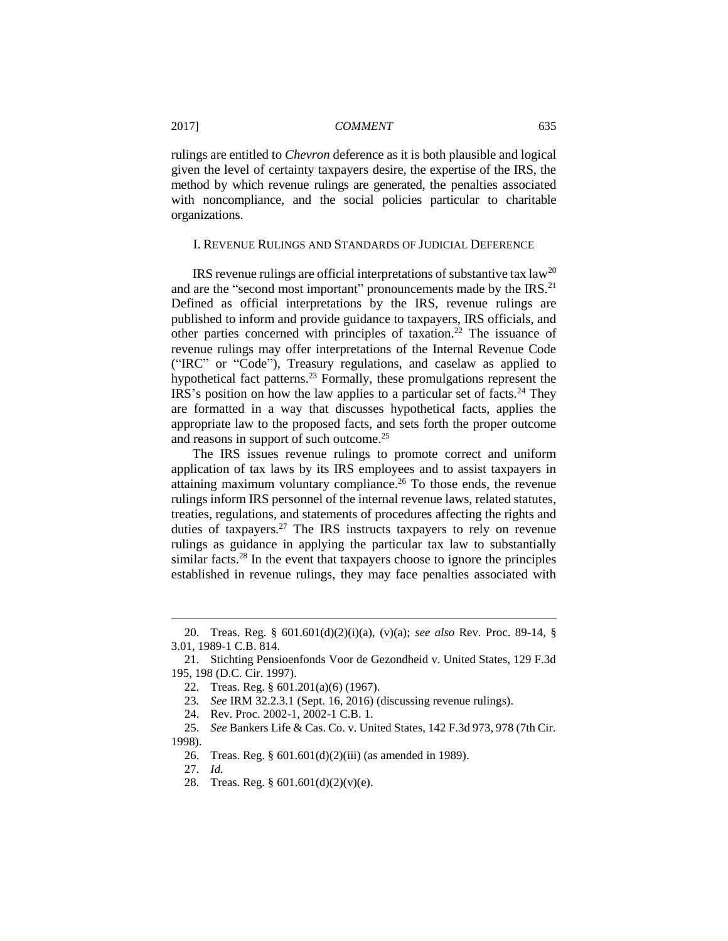rulings are entitled to *Chevron* deference as it is both plausible and logical given the level of certainty taxpayers desire, the expertise of the IRS, the method by which revenue rulings are generated, the penalties associated with noncompliance, and the social policies particular to charitable organizations.

## I. REVENUE RULINGS AND STANDARDS OF JUDICIAL DEFERENCE

IRS revenue rulings are official interpretations of substantive tax  $law<sup>20</sup>$ and are the "second most important" pronouncements made by the IRS.<sup>21</sup> Defined as official interpretations by the IRS, revenue rulings are published to inform and provide guidance to taxpayers, IRS officials, and other parties concerned with principles of taxation.<sup>22</sup> The issuance of revenue rulings may offer interpretations of the Internal Revenue Code ("IRC" or "Code"), Treasury regulations, and caselaw as applied to hypothetical fact patterns.<sup>23</sup> Formally, these promulgations represent the IRS's position on how the law applies to a particular set of facts.<sup>24</sup> They are formatted in a way that discusses hypothetical facts, applies the appropriate law to the proposed facts, and sets forth the proper outcome and reasons in support of such outcome.<sup>25</sup>

The IRS issues revenue rulings to promote correct and uniform application of tax laws by its IRS employees and to assist taxpayers in attaining maximum voluntary compliance.<sup>26</sup> To those ends, the revenue rulings inform IRS personnel of the internal revenue laws, related statutes, treaties, regulations, and statements of procedures affecting the rights and duties of taxpayers.<sup>27</sup> The IRS instructs taxpayers to rely on revenue rulings as guidance in applying the particular tax law to substantially similar facts.<sup>28</sup> In the event that taxpayers choose to ignore the principles established in revenue rulings, they may face penalties associated with

27. *Id.*

<sup>20.</sup> Treas. Reg. § 601.601(d)(2)(i)(a), (v)(a); *see also* Rev. Proc. 89-14, § 3.01, 1989-1 C.B. 814.

<sup>21.</sup> Stichting Pensioenfonds Voor de Gezondheid v. United States, 129 F.3d 195, 198 (D.C. Cir. 1997).

<sup>22.</sup> Treas. Reg. § 601.201(a)(6) (1967).

<sup>23</sup>*. See* IRM 32.2.3.1 (Sept. 16, 2016) (discussing revenue rulings).

<sup>24.</sup> Rev. Proc. 2002-1, 2002-1 C.B. 1.

<sup>25.</sup> *See* Bankers Life & Cas. Co. v. United States, 142 F.3d 973, 978 (7th Cir. 1998).

<sup>26.</sup> Treas. Reg. § 601.601(d)(2)(iii) (as amended in 1989).

<sup>28.</sup> Treas. Reg. § 601.601(d)(2)(v)(e).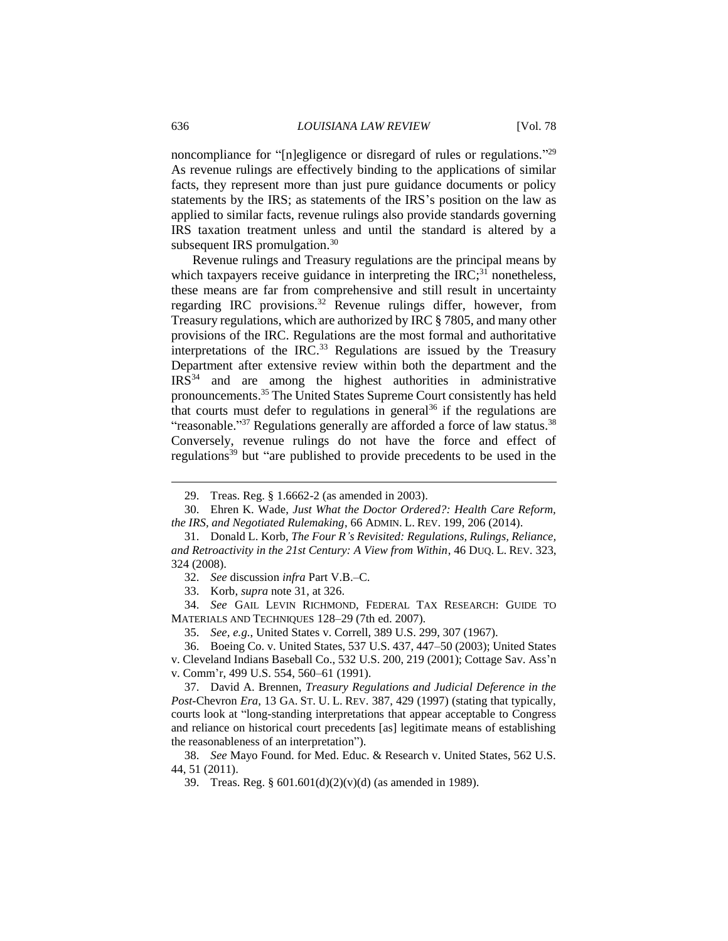noncompliance for "[n]egligence or disregard of rules or regulations."<sup>29</sup> As revenue rulings are effectively binding to the applications of similar facts, they represent more than just pure guidance documents or policy statements by the IRS; as statements of the IRS's position on the law as applied to similar facts, revenue rulings also provide standards governing IRS taxation treatment unless and until the standard is altered by a subsequent IRS promulgation.<sup>30</sup>

Revenue rulings and Treasury regulations are the principal means by which taxpayers receive guidance in interpreting the  $IRC$ <sup>31</sup> nonetheless, these means are far from comprehensive and still result in uncertainty regarding IRC provisions.<sup>32</sup> Revenue rulings differ, however, from Treasury regulations, which are authorized by IRC § 7805, and many other provisions of the IRC. Regulations are the most formal and authoritative interpretations of the IRC. $33$  Regulations are issued by the Treasury Department after extensive review within both the department and the  $IRS<sup>34</sup>$  and are among the highest authorities in administrative pronouncements. <sup>35</sup> The United States Supreme Court consistently has held that courts must defer to regulations in general<sup>36</sup> if the regulations are "reasonable."<sup>37</sup> Regulations generally are afforded a force of law status.<sup>38</sup> Conversely, revenue rulings do not have the force and effect of regulations<sup>39</sup> but "are published to provide precedents to be used in the

<sup>29.</sup> Treas. Reg. § 1.6662-2 (as amended in 2003).

<sup>30.</sup> Ehren K. Wade, *Just What the Doctor Ordered?: Health Care Reform, the IRS, and Negotiated Rulemaking*, 66 ADMIN. L. REV. 199, 206 (2014).

<sup>31.</sup> Donald L. Korb, *The Four R's Revisited: Regulations, Rulings, Reliance, and Retroactivity in the 21st Century: A View from Within*, 46 DUQ. L. REV. 323, 324 (2008).

<sup>32.</sup> *See* discussion *infra* Part V.B.–C.

<sup>33.</sup> Korb, *supra* note 31, at 326.

<sup>34.</sup> *See* GAIL LEVIN RICHMOND, FEDERAL TAX RESEARCH: GUIDE TO MATERIALS AND TECHNIQUES 128–29 (7th ed. 2007).

<sup>35.</sup> *See, e.g.*, United States v. Correll, 389 U.S. 299, 307 (1967).

<sup>36.</sup> Boeing Co. v. United States, 537 U.S. 437, 447–50 (2003); United States v. Cleveland Indians Baseball Co., 532 U.S. 200, 219 (2001); Cottage Sav. Ass'n v. Comm'r, 499 U.S. 554, 560–61 (1991).

<sup>37.</sup> David A. Brennen, *Treasury Regulations and Judicial Deference in the Post-*Chevron *Era*, 13 GA. ST. U. L. REV. 387, 429 (1997) (stating that typically, courts look at "long-standing interpretations that appear acceptable to Congress and reliance on historical court precedents [as] legitimate means of establishing the reasonableness of an interpretation").

<sup>38.</sup> *See* Mayo Found. for Med. Educ. & Research v. United States, 562 U.S. 44, 51 (2011).

<sup>39.</sup> Treas. Reg. § 601.601(d)(2)(v)(d) (as amended in 1989).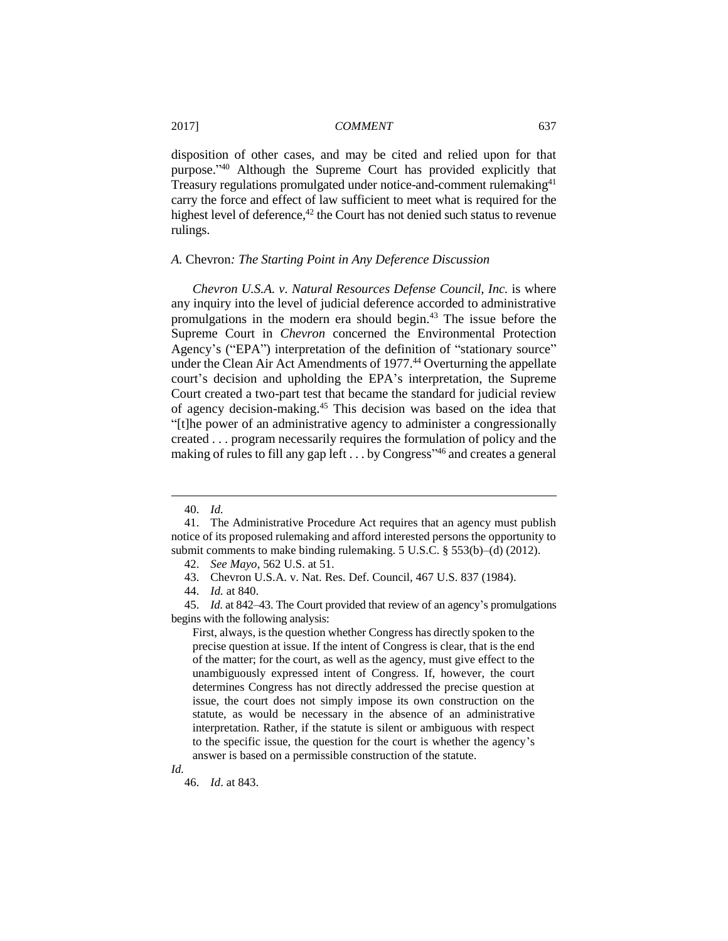disposition of other cases, and may be cited and relied upon for that purpose." <sup>40</sup> Although the Supreme Court has provided explicitly that Treasury regulations promulgated under notice-and-comment rulemaking<sup>41</sup> carry the force and effect of law sufficient to meet what is required for the highest level of deference, $42$  the Court has not denied such status to revenue rulings.

#### *A.* Chevron*: The Starting Point in Any Deference Discussion*

*Chevron U.S.A. v. Natural Resources Defense Council, Inc.* is where any inquiry into the level of judicial deference accorded to administrative promulgations in the modern era should begin.<sup>43</sup> The issue before the Supreme Court in *Chevron* concerned the Environmental Protection Agency's ("EPA") interpretation of the definition of "stationary source" under the Clean Air Act Amendments of 1977.<sup>44</sup> Overturning the appellate court's decision and upholding the EPA's interpretation, the Supreme Court created a two-part test that became the standard for judicial review of agency decision-making.<sup>45</sup> This decision was based on the idea that "[t]he power of an administrative agency to administer a congressionally created . . . program necessarily requires the formulation of policy and the making of rules to fill any gap left . . . by Congress<sup>146</sup> and creates a general

 $\overline{a}$ 

*Id.* 

<sup>40.</sup> *Id.*

<sup>41.</sup> The Administrative Procedure Act requires that an agency must publish notice of its proposed rulemaking and afford interested persons the opportunity to submit comments to make binding rulemaking. 5 U.S.C. § 553(b)–(d) (2012).

<sup>42.</sup> *See Mayo*, 562 U.S. at 51.

<sup>43.</sup> Chevron U.S.A. v. Nat. Res. Def. Council, 467 U.S. 837 (1984).

<sup>44.</sup> *Id.* at 840.

<sup>45.</sup> *Id*. at 842–43. The Court provided that review of an agency's promulgations begins with the following analysis:

First, always, is the question whether Congress has directly spoken to the precise question at issue. If the intent of Congress is clear, that is the end of the matter; for the court, as well as the agency, must give effect to the unambiguously expressed intent of Congress. If, however, the court determines Congress has not directly addressed the precise question at issue, the court does not simply impose its own construction on the statute, as would be necessary in the absence of an administrative interpretation. Rather, if the statute is silent or ambiguous with respect to the specific issue, the question for the court is whether the agency's answer is based on a permissible construction of the statute.

<sup>46.</sup> *Id*. at 843.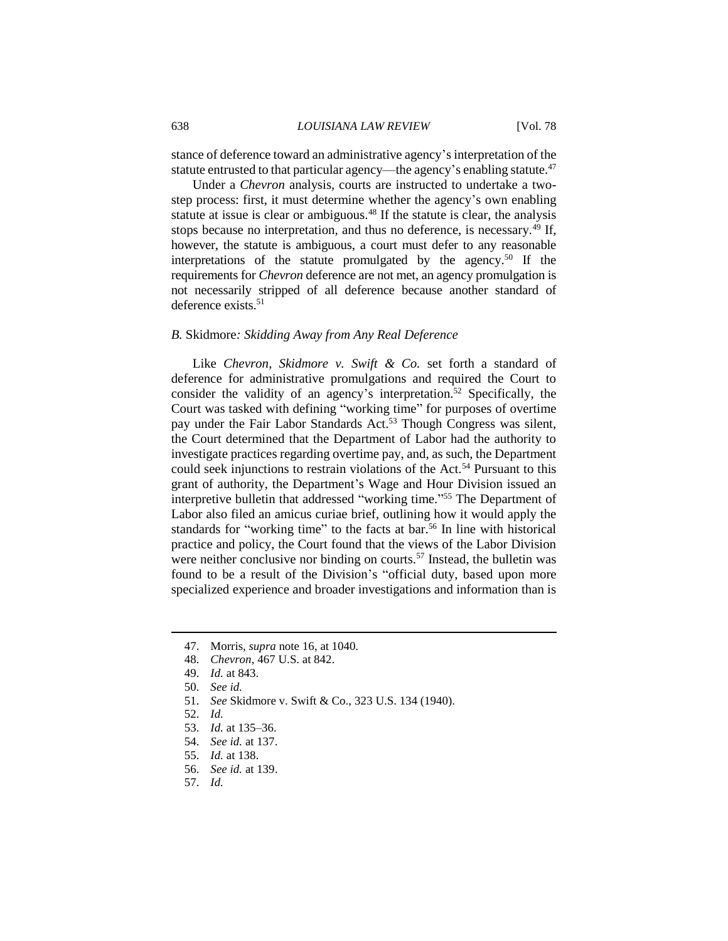stance of deference toward an administrative agency's interpretation of the statute entrusted to that particular agency—the agency's enabling statute.<sup>47</sup>

Under a *Chevron* analysis, courts are instructed to undertake a twostep process: first, it must determine whether the agency's own enabling statute at issue is clear or ambiguous.<sup>48</sup> If the statute is clear, the analysis stops because no interpretation, and thus no deference, is necessary.<sup>49</sup> If, however, the statute is ambiguous, a court must defer to any reasonable interpretations of the statute promulgated by the agency.<sup>50</sup> If the requirements for *Chevron* deference are not met, an agency promulgation is not necessarily stripped of all deference because another standard of deference exists.<sup>51</sup>

## *B.* Skidmore*: Skidding Away from Any Real Deference*

Like *Chevron*, *Skidmore v. Swift & Co.* set forth a standard of deference for administrative promulgations and required the Court to consider the validity of an agency's interpretation.<sup>52</sup> Specifically, the Court was tasked with defining "working time" for purposes of overtime pay under the Fair Labor Standards Act.<sup>53</sup> Though Congress was silent, the Court determined that the Department of Labor had the authority to investigate practices regarding overtime pay, and, as such, the Department could seek injunctions to restrain violations of the Act.<sup>54</sup> Pursuant to this grant of authority, the Department's Wage and Hour Division issued an interpretive bulletin that addressed "working time." <sup>55</sup> The Department of Labor also filed an amicus curiae brief, outlining how it would apply the standards for "working time" to the facts at bar.<sup>56</sup> In line with historical practice and policy, the Court found that the views of the Labor Division were neither conclusive nor binding on courts.<sup>57</sup> Instead, the bulletin was found to be a result of the Division's "official duty, based upon more specialized experience and broader investigations and information than is

- 55. *Id.* at 138.
- 56. *See id.* at 139.
- 57. *Id.*

<sup>47.</sup> Morris, *supra* note 16, at 1040.

<sup>48.</sup> *Chevron*, 467 U.S. at 842.

<sup>49.</sup> *Id.* at 843.

<sup>50.</sup> *See id.*

<sup>51.</sup> *See* Skidmore v. Swift & Co., 323 U.S. 134 (1940).

<sup>52.</sup> *Id.*

<sup>53.</sup> *Id.* at 135–36.

<sup>54.</sup> *See id.* at 137.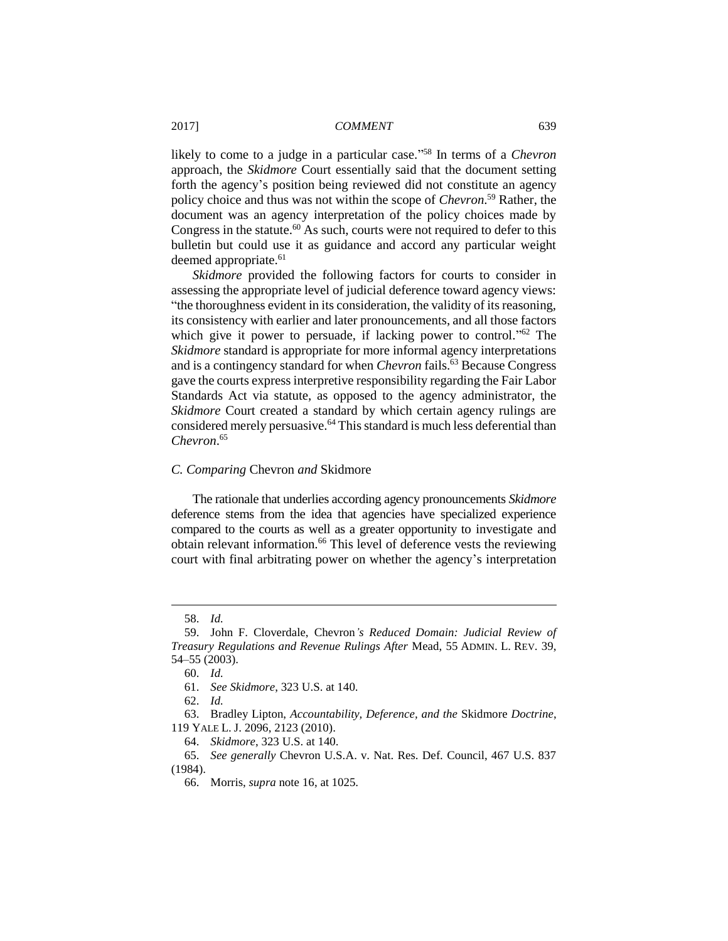likely to come to a judge in a particular case." <sup>58</sup> In terms of a *Chevron* approach, the *Skidmore* Court essentially said that the document setting forth the agency's position being reviewed did not constitute an agency policy choice and thus was not within the scope of *Chevron*. <sup>59</sup> Rather, the document was an agency interpretation of the policy choices made by Congress in the statute.<sup>60</sup> As such, courts were not required to defer to this bulletin but could use it as guidance and accord any particular weight deemed appropriate.<sup>61</sup>

*Skidmore* provided the following factors for courts to consider in assessing the appropriate level of judicial deference toward agency views: "the thoroughness evident in its consideration, the validity of its reasoning, its consistency with earlier and later pronouncements, and all those factors which give it power to persuade, if lacking power to control."<sup>62</sup> The *Skidmore* standard is appropriate for more informal agency interpretations and is a contingency standard for when *Chevron* fails.<sup>63</sup> Because Congress gave the courts express interpretive responsibility regarding the Fair Labor Standards Act via statute, as opposed to the agency administrator, the *Skidmore* Court created a standard by which certain agency rulings are considered merely persuasive.<sup>64</sup> This standard is much less deferential than *Chevron*. 65

## *C. Comparing* Chevron *and* Skidmore

The rationale that underlies according agency pronouncements *Skidmore* deference stems from the idea that agencies have specialized experience compared to the courts as well as a greater opportunity to investigate and obtain relevant information.<sup>66</sup> This level of deference vests the reviewing court with final arbitrating power on whether the agency's interpretation

<sup>58.</sup> *Id.*

<sup>59.</sup> John F. Cloverdale, Chevron*'s Reduced Domain: Judicial Review of Treasury Regulations and Revenue Rulings After* Mead, 55 ADMIN. L. REV. 39, 54–55 (2003).

<sup>60.</sup> *Id.*

<sup>61.</sup> *See Skidmore*, 323 U.S. at 140.

<sup>62.</sup> *Id.*

<sup>63.</sup> Bradley Lipton, *Accountability, Deference, and the* Skidmore *Doctrine*, 119 YALE L. J. 2096, 2123 (2010).

<sup>64.</sup> *Skidmore*, 323 U.S. at 140.

<sup>65.</sup> *See generally* Chevron U.S.A. v. Nat. Res. Def. Council, 467 U.S. 837 (1984).

<sup>66.</sup> Morris, *supra* note 16, at 1025.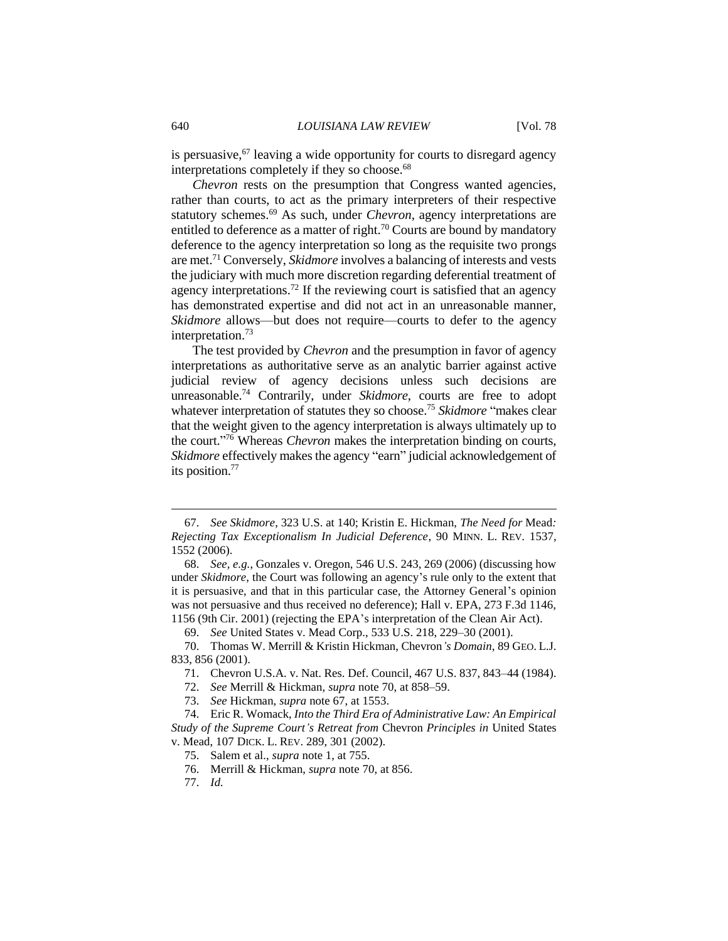is persuasive,  $67$  leaving a wide opportunity for courts to disregard agency interpretations completely if they so choose.<sup>68</sup>

*Chevron* rests on the presumption that Congress wanted agencies, rather than courts, to act as the primary interpreters of their respective statutory schemes.<sup>69</sup> As such, under *Chevron*, agency interpretations are entitled to deference as a matter of right.<sup>70</sup> Courts are bound by mandatory deference to the agency interpretation so long as the requisite two prongs are met.<sup>71</sup> Conversely, *Skidmore* involves a balancing of interests and vests the judiciary with much more discretion regarding deferential treatment of agency interpretations.<sup>72</sup> If the reviewing court is satisfied that an agency has demonstrated expertise and did not act in an unreasonable manner, *Skidmore* allows—but does not require—courts to defer to the agency interpretation.<sup>73</sup>

The test provided by *Chevron* and the presumption in favor of agency interpretations as authoritative serve as an analytic barrier against active judicial review of agency decisions unless such decisions are unreasonable.<sup>74</sup> Contrarily, under *Skidmore*, courts are free to adopt whatever interpretation of statutes they so choose.<sup>75</sup> *Skidmore* "makes clear that the weight given to the agency interpretation is always ultimately up to the court." <sup>76</sup> Whereas *Chevron* makes the interpretation binding on courts, *Skidmore* effectively makes the agency "earn" judicial acknowledgement of its position.<sup>77</sup>

77. *Id.*

<sup>67.</sup> *See Skidmore*, 323 U.S. at 140; Kristin E. Hickman, *The Need for* Mead*: Rejecting Tax Exceptionalism In Judicial Deference*, 90 MINN. L. REV. 1537, 1552 (2006).

<sup>68.</sup> *See, e.g.*, Gonzales v. Oregon, 546 U.S. 243, 269 (2006) (discussing how under *Skidmore*, the Court was following an agency's rule only to the extent that it is persuasive, and that in this particular case, the Attorney General's opinion was not persuasive and thus received no deference); Hall v. EPA, 273 F.3d 1146, 1156 (9th Cir. 2001) (rejecting the EPA's interpretation of the Clean Air Act).

<sup>69.</sup> *See* United States v. Mead Corp., 533 U.S. 218, 229–30 (2001).

<sup>70.</sup> Thomas W. Merrill & Kristin Hickman, Chevron*'s Domain*, 89 GEO. L.J. 833, 856 (2001).

<sup>71.</sup> Chevron U.S.A. v. Nat. Res. Def. Council, 467 U.S. 837, 843–44 (1984).

<sup>72.</sup> *See* Merrill & Hickman, *supra* note 70, at 858–59.

<sup>73.</sup> *See* Hickman, *supra* note 67, at 1553.

<sup>74.</sup> Eric R. Womack, *Into the Third Era of Administrative Law: An Empirical Study of the Supreme Court's Retreat from* Chevron *Principles in* United States v. Mead, 107 DICK. L. REV. 289, 301 (2002).

<sup>75.</sup> Salem et al., *supra* note 1, at 755.

<sup>76.</sup> Merrill & Hickman, *supra* note 70, at 856.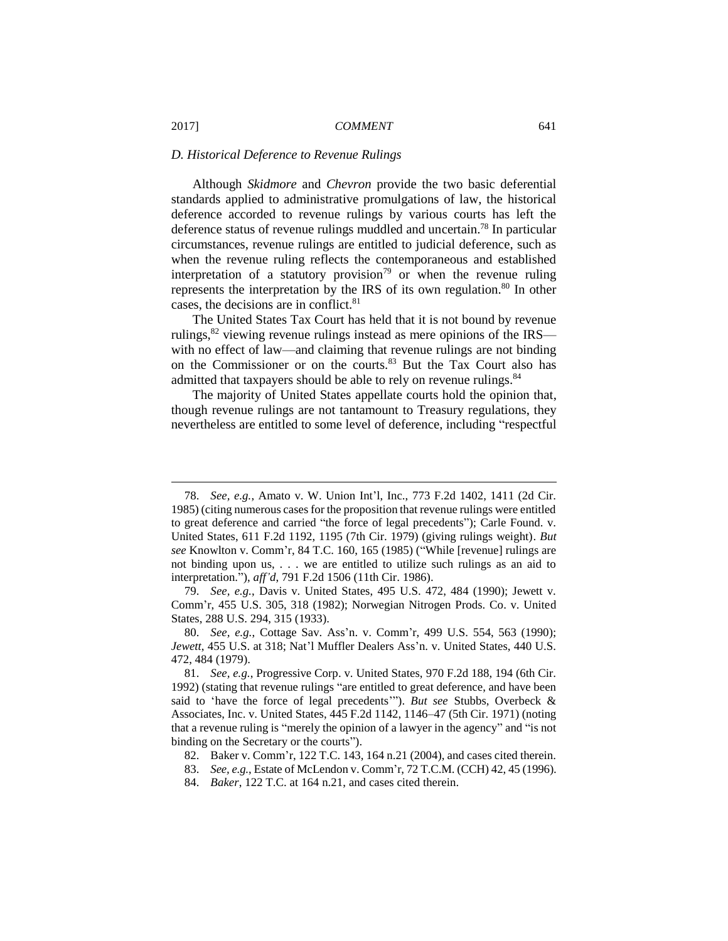#### *D. Historical Deference to Revenue Rulings*

Although *Skidmore* and *Chevron* provide the two basic deferential standards applied to administrative promulgations of law, the historical deference accorded to revenue rulings by various courts has left the deference status of revenue rulings muddled and uncertain. <sup>78</sup> In particular circumstances, revenue rulings are entitled to judicial deference, such as when the revenue ruling reflects the contemporaneous and established interpretation of a statutory provision<sup>79</sup> or when the revenue ruling represents the interpretation by the IRS of its own regulation.<sup>80</sup> In other cases, the decisions are in conflict.<sup>81</sup>

The United States Tax Court has held that it is not bound by revenue rulings,  $82$  viewing revenue rulings instead as mere opinions of the IRS with no effect of law—and claiming that revenue rulings are not binding on the Commissioner or on the courts.<sup>83</sup> But the Tax Court also has admitted that taxpayers should be able to rely on revenue rulings.<sup>84</sup>

The majority of United States appellate courts hold the opinion that, though revenue rulings are not tantamount to Treasury regulations, they nevertheless are entitled to some level of deference, including "respectful

84. *Baker*, 122 T.C. at 164 n.21, and cases cited therein.

<sup>78.</sup> *See, e.g.*, Amato v. W. Union Int'l, Inc., 773 F.2d 1402, 1411 (2d Cir. 1985) (citing numerous cases for the proposition that revenue rulings were entitled to great deference and carried "the force of legal precedents"); Carle Found. v. United States, 611 F.2d 1192, 1195 (7th Cir. 1979) (giving rulings weight). *But see* Knowlton v. Comm'r, 84 T.C. 160, 165 (1985) ("While [revenue] rulings are not binding upon us, . . . we are entitled to utilize such rulings as an aid to interpretation."), *aff'd*, 791 F.2d 1506 (11th Cir. 1986).

<sup>79.</sup> *See, e.g.*, Davis v. United States, 495 U.S. 472, 484 (1990); Jewett v. Comm'r, 455 U.S. 305, 318 (1982); Norwegian Nitrogen Prods. Co. v. United States, 288 U.S. 294, 315 (1933).

<sup>80.</sup> *See, e.g.*, Cottage Sav. Ass'n. v. Comm'r, 499 U.S. 554, 563 (1990); *Jewett*, 455 U.S. at 318; Nat'l Muffler Dealers Ass'n. v. United States, 440 U.S. 472, 484 (1979).

<sup>81.</sup> *See, e.g.*, Progressive Corp. v. United States, 970 F.2d 188, 194 (6th Cir. 1992) (stating that revenue rulings "are entitled to great deference, and have been said to 'have the force of legal precedents'"). *But see* Stubbs, Overbeck & Associates, Inc. v. United States, 445 F.2d 1142, 1146–47 (5th Cir. 1971) (noting that a revenue ruling is "merely the opinion of a lawyer in the agency" and "is not binding on the Secretary or the courts").

<sup>82.</sup> Baker v. Comm'r, 122 T.C. 143, 164 n.21 (2004), and cases cited therein.

<sup>83.</sup> *See, e.g.*, Estate of McLendon v. Comm'r, 72 T.C.M. (CCH) 42, 45 (1996).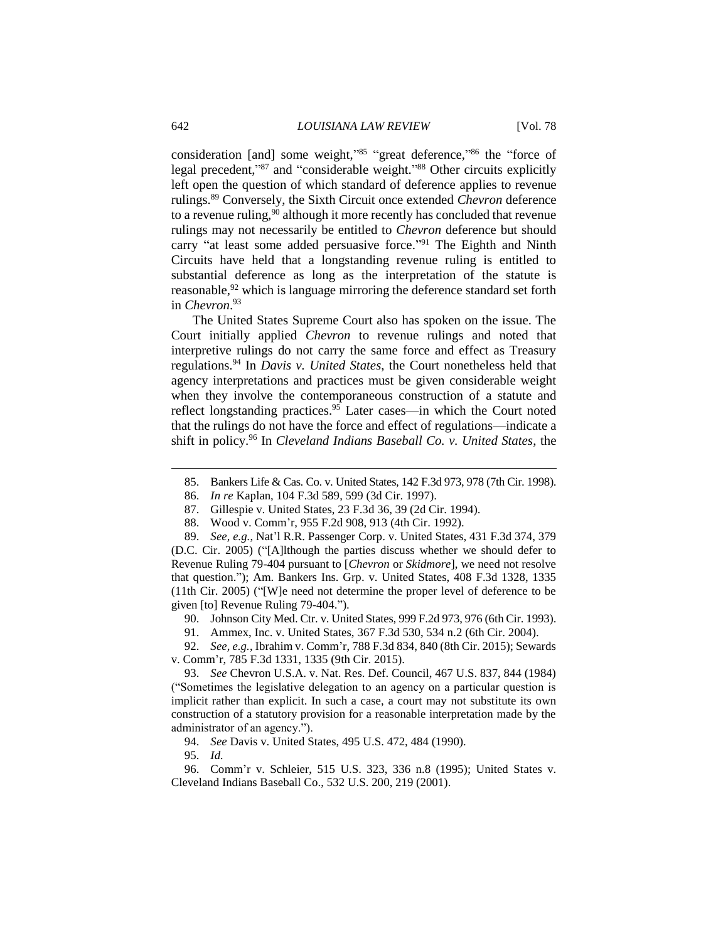consideration [and] some weight,"85 "great deference,"86 the "force of legal precedent,"<sup>87</sup> and "considerable weight."<sup>88</sup> Other circuits explicitly left open the question of which standard of deference applies to revenue rulings.<sup>89</sup> Conversely, the Sixth Circuit once extended *Chevron* deference to a revenue ruling,  $90$  although it more recently has concluded that revenue rulings may not necessarily be entitled to *Chevron* deference but should carry "at least some added persuasive force."<sup>91</sup> The Eighth and Ninth Circuits have held that a longstanding revenue ruling is entitled to substantial deference as long as the interpretation of the statute is reasonable,<sup>92</sup> which is language mirroring the deference standard set forth in *Chevron*. 93

The United States Supreme Court also has spoken on the issue. The Court initially applied *Chevron* to revenue rulings and noted that interpretive rulings do not carry the same force and effect as Treasury regulations.<sup>94</sup> In *Davis v. United States*, the Court nonetheless held that agency interpretations and practices must be given considerable weight when they involve the contemporaneous construction of a statute and reflect longstanding practices. <sup>95</sup> Later cases—in which the Court noted that the rulings do not have the force and effect of regulations—indicate a shift in policy.<sup>96</sup> In *Cleveland Indians Baseball Co. v. United States*, the

- 86. *In re* Kaplan, 104 F.3d 589, 599 (3d Cir. 1997).
- 87. Gillespie v. United States, 23 F.3d 36, 39 (2d Cir. 1994).
- 88. Wood v. Comm'r, 955 F.2d 908, 913 (4th Cir. 1992).

89. *See, e.g.*, Nat'l R.R. Passenger Corp. v. United States, 431 F.3d 374, 379 (D.C. Cir. 2005) ("[A]lthough the parties discuss whether we should defer to Revenue Ruling 79-404 pursuant to [*Chevron* or *Skidmore*], we need not resolve that question."); Am. Bankers Ins. Grp. v. United States, 408 F.3d 1328, 1335 (11th Cir. 2005) ("[W]e need not determine the proper level of deference to be given [to] Revenue Ruling 79-404.").

- 90. Johnson City Med. Ctr. v. United States, 999 F.2d 973, 976 (6th Cir. 1993).
- 91. Ammex, Inc. v. United States, 367 F.3d 530, 534 n.2 (6th Cir. 2004).

92. *See, e.g.*, Ibrahim v. Comm'r, 788 F.3d 834, 840 (8th Cir. 2015); Sewards v. Comm'r, 785 F.3d 1331, 1335 (9th Cir. 2015).

93. *See* Chevron U.S.A. v. Nat. Res. Def. Council, 467 U.S. 837, 844 (1984) ("Sometimes the legislative delegation to an agency on a particular question is implicit rather than explicit. In such a case, a court may not substitute its own construction of a statutory provision for a reasonable interpretation made by the administrator of an agency.").

94. *See* Davis v. United States, 495 U.S. 472, 484 (1990).

95. *Id.*

96. Comm'r v. Schleier, 515 U.S. 323, 336 n.8 (1995); United States v. Cleveland Indians Baseball Co., 532 U.S. 200, 219 (2001).

<sup>85.</sup> Bankers Life & Cas. Co. v. United States, 142 F.3d 973, 978 (7th Cir. 1998).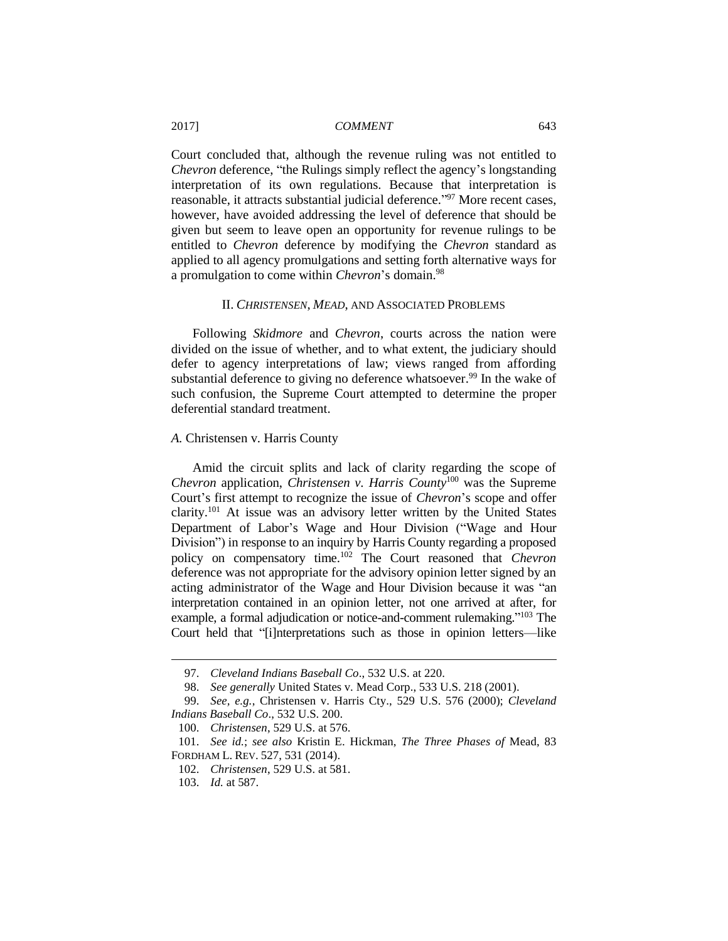Court concluded that, although the revenue ruling was not entitled to *Chevron* deference, "the Rulings simply reflect the agency's longstanding interpretation of its own regulations. Because that interpretation is reasonable, it attracts substantial judicial deference."<sup>97</sup> More recent cases, however, have avoided addressing the level of deference that should be given but seem to leave open an opportunity for revenue rulings to be entitled to *Chevron* deference by modifying the *Chevron* standard as applied to all agency promulgations and setting forth alternative ways for a promulgation to come within *Chevron*'s domain.<sup>98</sup>

## II. *CHRISTENSEN*, *MEAD*, AND ASSOCIATED PROBLEMS

Following *Skidmore* and *Chevron*, courts across the nation were divided on the issue of whether, and to what extent, the judiciary should defer to agency interpretations of law; views ranged from affording substantial deference to giving no deference whatsoever.<sup>99</sup> In the wake of such confusion, the Supreme Court attempted to determine the proper deferential standard treatment.

#### *A.* Christensen v. Harris County

Amid the circuit splits and lack of clarity regarding the scope of *Chevron* application, *Christensen v. Harris County*<sup>100</sup> was the Supreme Court's first attempt to recognize the issue of *Chevron*'s scope and offer clarity.<sup>101</sup> At issue was an advisory letter written by the United States Department of Labor's Wage and Hour Division ("Wage and Hour Division") in response to an inquiry by Harris County regarding a proposed policy on compensatory time.<sup>102</sup> The Court reasoned that *Chevron* deference was not appropriate for the advisory opinion letter signed by an acting administrator of the Wage and Hour Division because it was "an interpretation contained in an opinion letter, not one arrived at after, for example, a formal adjudication or notice-and-comment rulemaking."<sup>103</sup> The Court held that "[i]nterpretations such as those in opinion letters—like

<sup>97.</sup> *Cleveland Indians Baseball Co*., 532 U.S. at 220.

<sup>98.</sup> *See generally* United States v. Mead Corp., 533 U.S. 218 (2001).

<sup>99.</sup> *See, e.g.*, Christensen v. Harris Cty., 529 U.S. 576 (2000); *Cleveland Indians Baseball Co*., 532 U.S. 200.

<sup>100.</sup> *Christensen*, 529 U.S. at 576.

<sup>101.</sup> *See id.*; *see also* Kristin E. Hickman, *The Three Phases of* Mead, 83 FORDHAM L. REV. 527, 531 (2014).

<sup>102.</sup> *Christensen*, 529 U.S. at 581.

<sup>103.</sup> *Id.* at 587.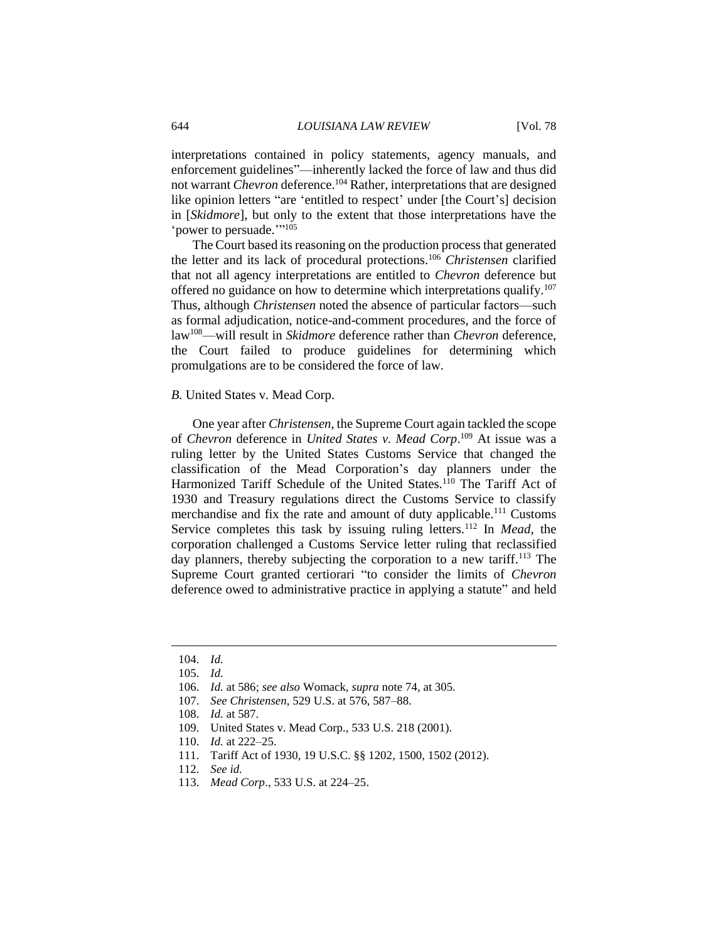interpretations contained in policy statements, agency manuals, and enforcement guidelines"—inherently lacked the force of law and thus did not warrant *Chevron* deference.<sup>104</sup> Rather, interpretations that are designed like opinion letters "are 'entitled to respect' under [the Court's] decision in [*Skidmore*], but only to the extent that those interpretations have the 'power to persuade.""105

The Court based its reasoning on the production process that generated the letter and its lack of procedural protections.<sup>106</sup> *Christensen* clarified that not all agency interpretations are entitled to *Chevron* deference but offered no guidance on how to determine which interpretations qualify.<sup>107</sup> Thus, although *Christensen* noted the absence of particular factors—such as formal adjudication, notice-and-comment procedures, and the force of law<sup>108</sup>—will result in *Skidmore* deference rather than *Chevron* deference, the Court failed to produce guidelines for determining which promulgations are to be considered the force of law.

## *B.* United States v. Mead Corp.

One year after *Christensen*, the Supreme Court again tackled the scope of *Chevron* deference in *United States v. Mead Corp*. <sup>109</sup> At issue was a ruling letter by the United States Customs Service that changed the classification of the Mead Corporation's day planners under the Harmonized Tariff Schedule of the United States.<sup>110</sup> The Tariff Act of 1930 and Treasury regulations direct the Customs Service to classify merchandise and fix the rate and amount of duty applicable.<sup>111</sup> Customs Service completes this task by issuing ruling letters.<sup>112</sup> In *Mead*, the corporation challenged a Customs Service letter ruling that reclassified day planners, thereby subjecting the corporation to a new tariff.<sup>113</sup> The Supreme Court granted certiorari "to consider the limits of *Chevron* deference owed to administrative practice in applying a statute" and held

- 110. *Id.* at 222–25.
- 111. Tariff Act of 1930, 19 U.S.C. §§ 1202, 1500, 1502 (2012).

<sup>104.</sup> *Id.*

<sup>105.</sup> *Id.*

<sup>106.</sup> *Id.* at 586; *see also* Womack, *supra* note 74, at 305.

<sup>107.</sup> *See Christensen*, 529 U.S. at 576, 587–88.

<sup>108.</sup> *Id.* at 587.

<sup>109.</sup> United States v. Mead Corp., 533 U.S. 218 (2001).

<sup>112.</sup> *See id.*

<sup>113.</sup> *Mead Corp*., 533 U.S. at 224–25.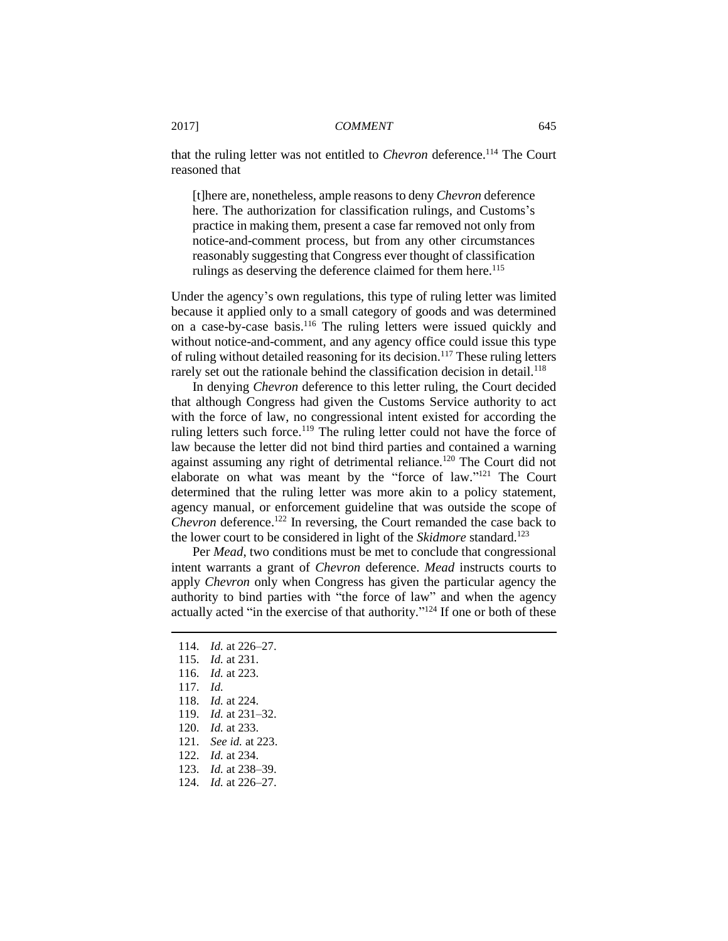that the ruling letter was not entitled to *Chevron* deference.<sup>114</sup> The Court reasoned that

[t]here are, nonetheless, ample reasons to deny *Chevron* deference here. The authorization for classification rulings, and Customs's practice in making them, present a case far removed not only from notice-and-comment process, but from any other circumstances reasonably suggesting that Congress ever thought of classification rulings as deserving the deference claimed for them here.<sup>115</sup>

Under the agency's own regulations, this type of ruling letter was limited because it applied only to a small category of goods and was determined on a case-by-case basis.<sup>116</sup> The ruling letters were issued quickly and without notice-and-comment, and any agency office could issue this type of ruling without detailed reasoning for its decision.<sup>117</sup> These ruling letters rarely set out the rationale behind the classification decision in detail.<sup>118</sup>

In denying *Chevron* deference to this letter ruling, the Court decided that although Congress had given the Customs Service authority to act with the force of law, no congressional intent existed for according the ruling letters such force.<sup>119</sup> The ruling letter could not have the force of law because the letter did not bind third parties and contained a warning against assuming any right of detrimental reliance.<sup>120</sup> The Court did not elaborate on what was meant by the "force of law."<sup>121</sup> The Court determined that the ruling letter was more akin to a policy statement, agency manual, or enforcement guideline that was outside the scope of *Chevron* deference.<sup>122</sup> In reversing, the Court remanded the case back to the lower court to be considered in light of the *Skidmore* standard.<sup>123</sup>

Per *Mead*, two conditions must be met to conclude that congressional intent warrants a grant of *Chevron* deference. *Mead* instructs courts to apply *Chevron* only when Congress has given the particular agency the authority to bind parties with "the force of law" and when the agency actually acted "in the exercise of that authority."<sup>124</sup> If one or both of these

117. *Id.*

- 118. *Id.* at 224.
- 119. *Id.* at 231–32.
- 120. *Id.* at 233.
- 121. *See id.* at 223.
- 122. *Id.* at 234.
- 123. *Id.* at 238–39.
- 124. *Id.* at 226–27.

<sup>114.</sup> *Id.* at 226–27.

<sup>115.</sup> *Id.* at 231.

<sup>116.</sup> *Id.* at 223.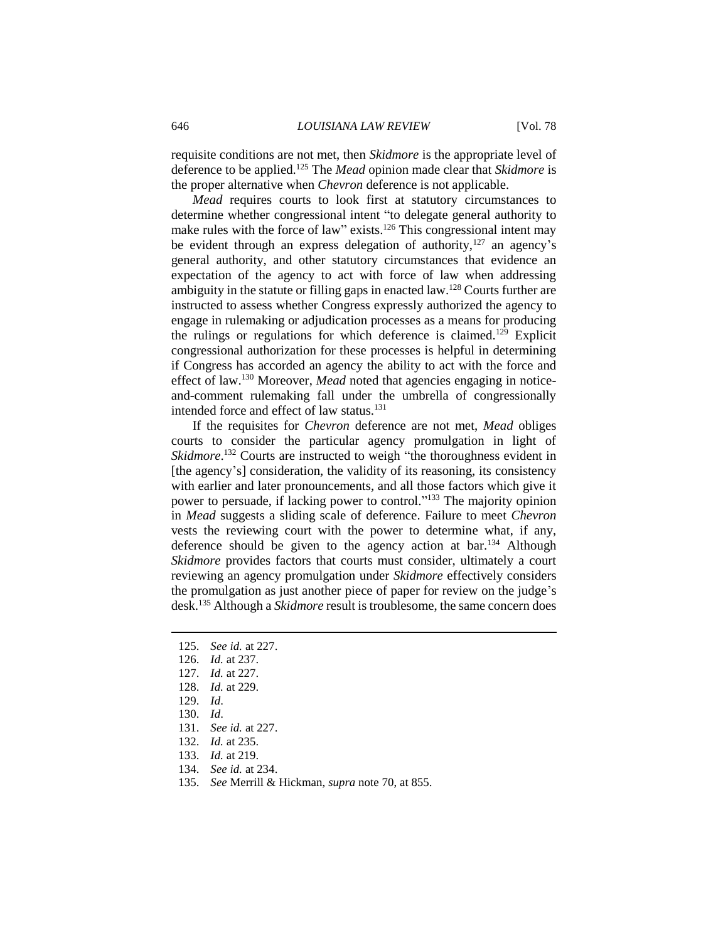requisite conditions are not met, then *Skidmore* is the appropriate level of deference to be applied.<sup>125</sup> The *Mead* opinion made clear that *Skidmore* is the proper alternative when *Chevron* deference is not applicable.

*Mead* requires courts to look first at statutory circumstances to determine whether congressional intent "to delegate general authority to make rules with the force of law" exists.<sup>126</sup> This congressional intent may be evident through an express delegation of authority, $127$  an agency's general authority, and other statutory circumstances that evidence an expectation of the agency to act with force of law when addressing ambiguity in the statute or filling gaps in enacted law.<sup>128</sup> Courts further are instructed to assess whether Congress expressly authorized the agency to engage in rulemaking or adjudication processes as a means for producing the rulings or regulations for which deference is claimed.<sup>129</sup> Explicit congressional authorization for these processes is helpful in determining if Congress has accorded an agency the ability to act with the force and effect of law.<sup>130</sup> Moreover, *Mead* noted that agencies engaging in noticeand-comment rulemaking fall under the umbrella of congressionally intended force and effect of law status.<sup>131</sup>

If the requisites for *Chevron* deference are not met, *Mead* obliges courts to consider the particular agency promulgation in light of Skidmore.<sup>132</sup> Courts are instructed to weigh "the thoroughness evident in [the agency's] consideration, the validity of its reasoning, its consistency with earlier and later pronouncements, and all those factors which give it power to persuade, if lacking power to control."<sup>133</sup> The majority opinion in *Mead* suggests a sliding scale of deference. Failure to meet *Chevron* vests the reviewing court with the power to determine what, if any, deference should be given to the agency action at bar.<sup>134</sup> Although *Skidmore* provides factors that courts must consider, ultimately a court reviewing an agency promulgation under *Skidmore* effectively considers the promulgation as just another piece of paper for review on the judge's desk.<sup>135</sup> Although a *Skidmore* result is troublesome, the same concern does

- 125. *See id.* at 227.
- 126. *Id.* at 237.
- 127. *Id.* at 227.
- 128. *Id.* at 229.
- 129. *Id*.

- 130. *Id*.
- 131. *See id.* at 227.
- 132. *Id.* at 235.
- 133. *Id.* at 219.
- 134. *See id.* at 234.
- 135. *See* Merrill & Hickman, *supra* note 70, at 855.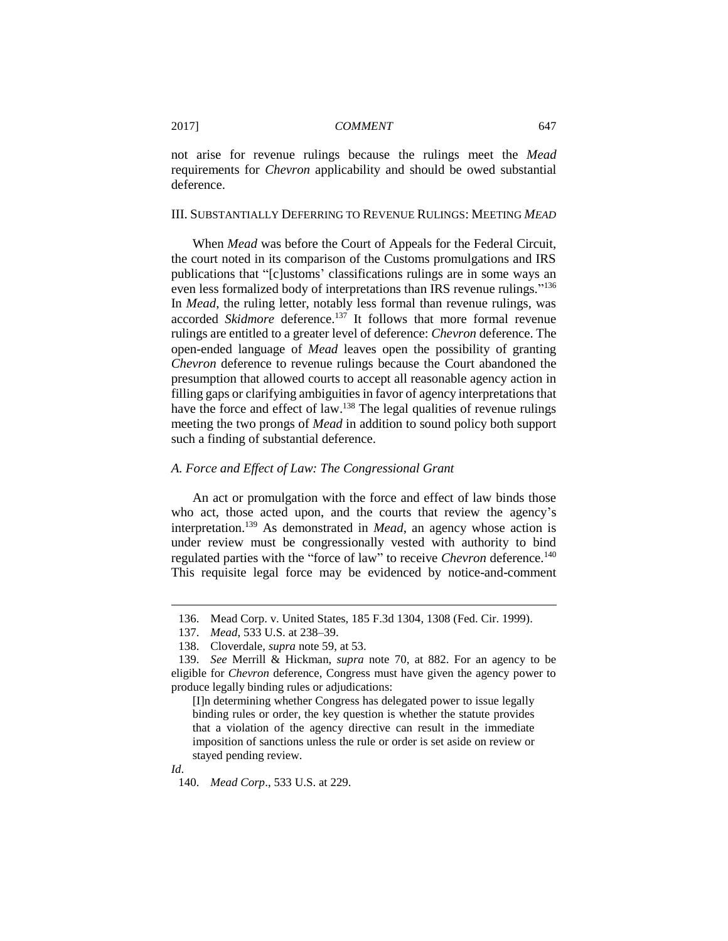not arise for revenue rulings because the rulings meet the *Mead* requirements for *Chevron* applicability and should be owed substantial deference.

## III. SUBSTANTIALLY DEFERRING TO REVENUE RULINGS: MEETING *MEAD*

When *Mead* was before the Court of Appeals for the Federal Circuit, the court noted in its comparison of the Customs promulgations and IRS publications that "[c]ustoms' classifications rulings are in some ways an even less formalized body of interpretations than IRS revenue rulings."<sup>136</sup> In *Mead*, the ruling letter, notably less formal than revenue rulings, was accorded *Skidmore* deference.<sup>137</sup> It follows that more formal revenue rulings are entitled to a greater level of deference: *Chevron* deference. The open-ended language of *Mead* leaves open the possibility of granting *Chevron* deference to revenue rulings because the Court abandoned the presumption that allowed courts to accept all reasonable agency action in filling gaps or clarifying ambiguities in favor of agency interpretations that have the force and effect of law.<sup>138</sup> The legal qualities of revenue rulings meeting the two prongs of *Mead* in addition to sound policy both support such a finding of substantial deference.

## *A. Force and Effect of Law: The Congressional Grant*

An act or promulgation with the force and effect of law binds those who act, those acted upon, and the courts that review the agency's interpretation.<sup>139</sup> As demonstrated in *Mead*, an agency whose action is under review must be congressionally vested with authority to bind regulated parties with the "force of law" to receive *Chevron* deference.<sup>140</sup> This requisite legal force may be evidenced by notice-and-comment

<sup>136.</sup> Mead Corp. v. United States, 185 F.3d 1304, 1308 (Fed. Cir. 1999).

<sup>137.</sup> *Mead*, 533 U.S. at 238–39.

<sup>138.</sup> Cloverdale, *supra* note 59, at 53.

<sup>139.</sup> *See* Merrill & Hickman, *supra* note 70, at 882. For an agency to be eligible for *Chevron* deference, Congress must have given the agency power to produce legally binding rules or adjudications:

<sup>[</sup>I]n determining whether Congress has delegated power to issue legally binding rules or order, the key question is whether the statute provides that a violation of the agency directive can result in the immediate imposition of sanctions unless the rule or order is set aside on review or stayed pending review.

*Id*.

<sup>140.</sup> *Mead Corp*., 533 U.S. at 229.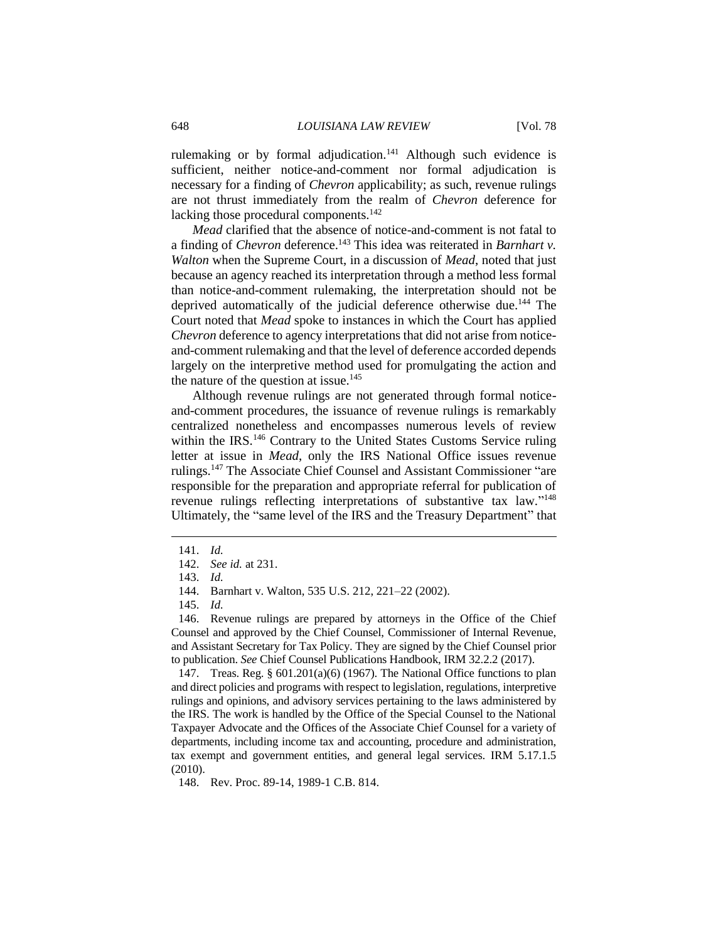rulemaking or by formal adjudication.<sup>141</sup> Although such evidence is sufficient, neither notice-and-comment nor formal adjudication is necessary for a finding of *Chevron* applicability; as such, revenue rulings are not thrust immediately from the realm of *Chevron* deference for lacking those procedural components.<sup>142</sup>

*Mead* clarified that the absence of notice-and-comment is not fatal to a finding of *Chevron* deference.<sup>143</sup> This idea was reiterated in *Barnhart v*. *Walton* when the Supreme Court, in a discussion of *Mead*, noted that just because an agency reached its interpretation through a method less formal than notice-and-comment rulemaking, the interpretation should not be deprived automatically of the judicial deference otherwise due.<sup>144</sup> The Court noted that *Mead* spoke to instances in which the Court has applied *Chevron* deference to agency interpretations that did not arise from noticeand-comment rulemaking and that the level of deference accorded depends largely on the interpretive method used for promulgating the action and the nature of the question at issue. $145$ 

Although revenue rulings are not generated through formal noticeand-comment procedures, the issuance of revenue rulings is remarkably centralized nonetheless and encompasses numerous levels of review within the IRS.<sup>146</sup> Contrary to the United States Customs Service ruling letter at issue in *Mead*, only the IRS National Office issues revenue rulings.<sup>147</sup> The Associate Chief Counsel and Assistant Commissioner "are responsible for the preparation and appropriate referral for publication of revenue rulings reflecting interpretations of substantive tax law."<sup>148</sup> Ultimately, the "same level of the IRS and the Treasury Department" that

 $\overline{a}$ 

147. Treas. Reg. § 601.201(a)(6) (1967). The National Office functions to plan and direct policies and programs with respect to legislation, regulations, interpretive rulings and opinions, and advisory services pertaining to the laws administered by the IRS. The work is handled by the Office of the Special Counsel to the National Taxpayer Advocate and the Offices of the Associate Chief Counsel for a variety of departments, including income tax and accounting, procedure and administration, tax exempt and government entities, and general legal services. IRM 5.17.1.5 (2010).

148. Rev. Proc. 89-14, 1989-1 C.B. 814.

<sup>141.</sup> *Id.*

<sup>142.</sup> *See id.* at 231.

<sup>143.</sup> *Id.*

<sup>144.</sup> Barnhart v. Walton, 535 U.S. 212, 221–22 (2002).

<sup>145.</sup> *Id.*

<sup>146.</sup> Revenue rulings are prepared by attorneys in the Office of the Chief Counsel and approved by the Chief Counsel, Commissioner of Internal Revenue, and Assistant Secretary for Tax Policy. They are signed by the Chief Counsel prior to publication. *See* Chief Counsel Publications Handbook, IRM 32.2.2 (2017).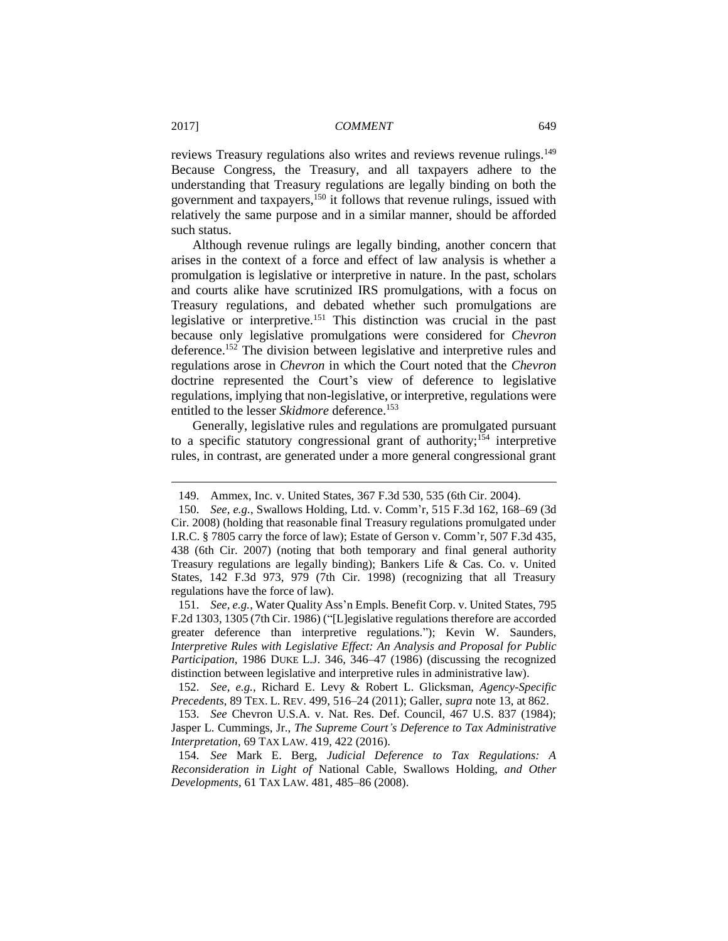reviews Treasury regulations also writes and reviews revenue rulings.<sup>149</sup> Because Congress, the Treasury, and all taxpayers adhere to the understanding that Treasury regulations are legally binding on both the government and taxpayers,<sup>150</sup> it follows that revenue rulings, issued with relatively the same purpose and in a similar manner, should be afforded such status.

Although revenue rulings are legally binding, another concern that arises in the context of a force and effect of law analysis is whether a promulgation is legislative or interpretive in nature. In the past, scholars and courts alike have scrutinized IRS promulgations, with a focus on Treasury regulations, and debated whether such promulgations are legislative or interpretive.<sup>151</sup> This distinction was crucial in the past because only legislative promulgations were considered for *Chevron* deference.<sup>152</sup> The division between legislative and interpretive rules and regulations arose in *Chevron* in which the Court noted that the *Chevron* doctrine represented the Court's view of deference to legislative regulations, implying that non-legislative, or interpretive, regulations were entitled to the lesser *Skidmore* deference.<sup>153</sup>

Generally, legislative rules and regulations are promulgated pursuant to a specific statutory congressional grant of authority;<sup>154</sup> interpretive rules, in contrast, are generated under a more general congressional grant

<sup>149.</sup> Ammex, Inc. v. United States, 367 F.3d 530, 535 (6th Cir. 2004).

<sup>150.</sup> *See, e.g.*, Swallows Holding, Ltd. v. Comm'r, 515 F.3d 162, 168–69 (3d Cir. 2008) (holding that reasonable final Treasury regulations promulgated under I.R.C. § 7805 carry the force of law); Estate of Gerson v. Comm'r, 507 F.3d 435, 438 (6th Cir. 2007) (noting that both temporary and final general authority Treasury regulations are legally binding); Bankers Life & Cas. Co. v. United States, 142 F.3d 973, 979 (7th Cir. 1998) (recognizing that all Treasury regulations have the force of law).

<sup>151.</sup> *See, e.g.*, Water Quality Ass'n Empls. Benefit Corp. v. United States, 795 F.2d 1303, 1305 (7th Cir. 1986) ("[L]egislative regulations therefore are accorded greater deference than interpretive regulations."); Kevin W. Saunders, *Interpretive Rules with Legislative Effect: An Analysis and Proposal for Public Participation*, 1986 DUKE L.J. 346, 346–47 (1986) (discussing the recognized distinction between legislative and interpretive rules in administrative law).

<sup>152.</sup> *See, e.g.*, Richard E. Levy & Robert L. Glicksman, *Agency-Specific Precedents*, 89 TEX. L. REV. 499, 516–24 (2011); Galler, *supra* note 13, at 862.

<sup>153.</sup> *See* Chevron U.S.A. v. Nat. Res. Def. Council, 467 U.S. 837 (1984); Jasper L. Cummings, Jr., *The Supreme Court's Deference to Tax Administrative Interpretation*, 69 TAX LAW. 419, 422 (2016).

<sup>154.</sup> *See* Mark E. Berg, *Judicial Deference to Tax Regulations: A Reconsideration in Light of* National Cable*,* Swallows Holding*, and Other Developments*, 61 TAX LAW. 481, 485–86 (2008).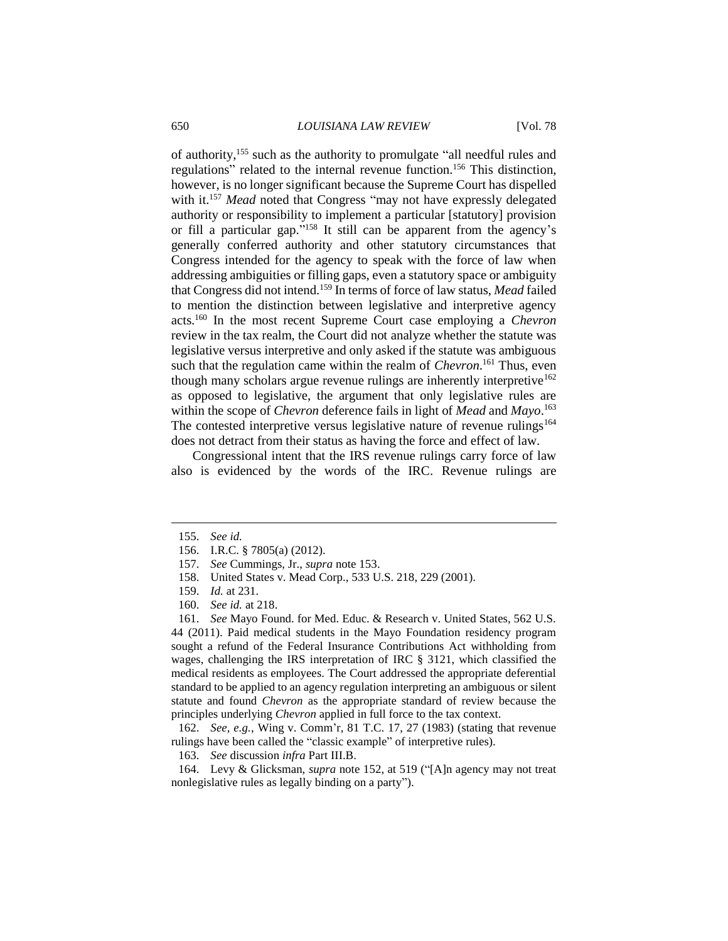of authority,<sup>155</sup> such as the authority to promulgate "all needful rules and regulations" related to the internal revenue function.<sup>156</sup> This distinction, however, is no longer significant because the Supreme Court has dispelled with it.<sup>157</sup> *Mead* noted that Congress "may not have expressly delegated authority or responsibility to implement a particular [statutory] provision or fill a particular gap." <sup>158</sup> It still can be apparent from the agency's generally conferred authority and other statutory circumstances that Congress intended for the agency to speak with the force of law when addressing ambiguities or filling gaps, even a statutory space or ambiguity that Congress did not intend.<sup>159</sup> In terms of force of law status, *Mead* failed to mention the distinction between legislative and interpretive agency acts.<sup>160</sup> In the most recent Supreme Court case employing a *Chevron* review in the tax realm, the Court did not analyze whether the statute was legislative versus interpretive and only asked if the statute was ambiguous such that the regulation came within the realm of *Chevron*. <sup>161</sup> Thus, even though many scholars argue revenue rulings are inherently interpretive<sup>162</sup> as opposed to legislative, the argument that only legislative rules are within the scope of *Chevron* deference fails in light of *Mead* and *Mayo*. 163 The contested interpretive versus legislative nature of revenue rulings<sup>164</sup> does not detract from their status as having the force and effect of law.

Congressional intent that the IRS revenue rulings carry force of law also is evidenced by the words of the IRC. Revenue rulings are

 $\overline{a}$ 

- 158. United States v. Mead Corp., 533 U.S. 218, 229 (2001).
- 159. *Id.* at 231.
- 160. *See id.* at 218.

161. *See* Mayo Found. for Med. Educ. & Research v. United States, 562 U.S. 44 (2011). Paid medical students in the Mayo Foundation residency program sought a refund of the Federal Insurance Contributions Act withholding from wages, challenging the IRS interpretation of IRC § 3121, which classified the medical residents as employees. The Court addressed the appropriate deferential standard to be applied to an agency regulation interpreting an ambiguous or silent statute and found *Chevron* as the appropriate standard of review because the principles underlying *Chevron* applied in full force to the tax context.

162. *See, e.g.*, Wing v. Comm'r, 81 T.C. 17, 27 (1983) (stating that revenue rulings have been called the "classic example" of interpretive rules).

163. *See* discussion *infra* Part III.B.

164. Levy & Glicksman, *supra* note 152, at 519 ("[A]n agency may not treat nonlegislative rules as legally binding on a party").

<sup>155.</sup> *See id.*

<sup>156.</sup> I.R.C. § 7805(a) (2012).

<sup>157.</sup> *See* Cummings, Jr., *supra* note 153.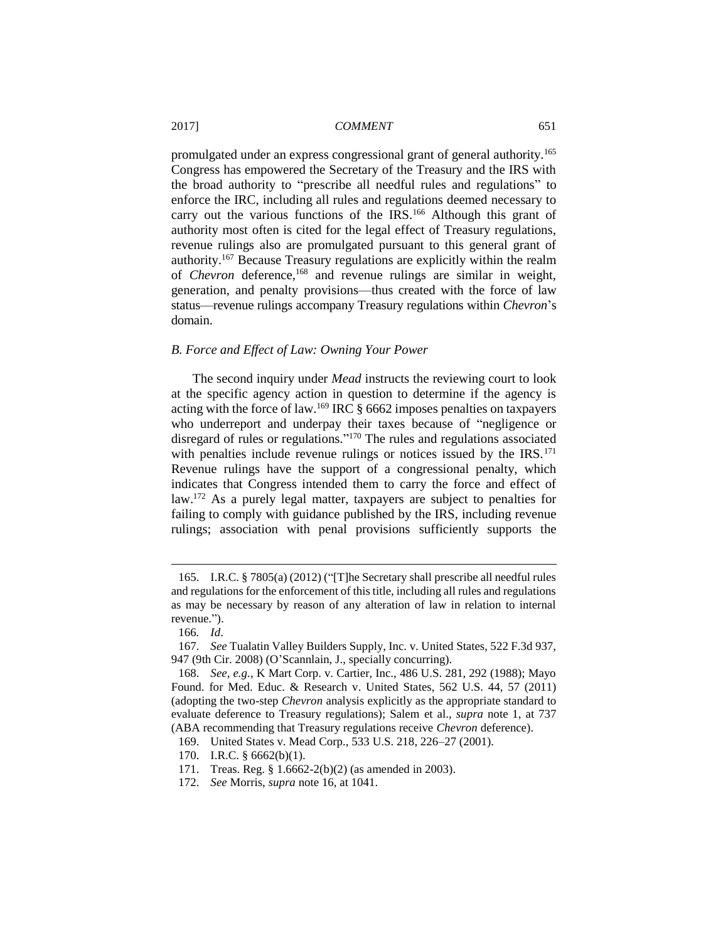promulgated under an express congressional grant of general authority.<sup>165</sup> Congress has empowered the Secretary of the Treasury and the IRS with the broad authority to "prescribe all needful rules and regulations" to enforce the IRC, including all rules and regulations deemed necessary to carry out the various functions of the IRS.<sup>166</sup> Although this grant of authority most often is cited for the legal effect of Treasury regulations, revenue rulings also are promulgated pursuant to this general grant of authority.<sup>167</sup> Because Treasury regulations are explicitly within the realm of *Chevron* deference,<sup>168</sup> and revenue rulings are similar in weight, generation, and penalty provisions—thus created with the force of law status—revenue rulings accompany Treasury regulations within *Chevron*'s domain.

## *B. Force and Effect of Law: Owning Your Power*

The second inquiry under *Mead* instructs the reviewing court to look at the specific agency action in question to determine if the agency is acting with the force of law.<sup>169</sup> IRC § 6662 imposes penalties on taxpayers who underreport and underpay their taxes because of "negligence or disregard of rules or regulations." <sup>170</sup> The rules and regulations associated with penalties include revenue rulings or notices issued by the  $IRS$ <sup>171</sup> Revenue rulings have the support of a congressional penalty, which indicates that Congress intended them to carry the force and effect of law.<sup>172</sup> As a purely legal matter, taxpayers are subject to penalties for failing to comply with guidance published by the IRS, including revenue rulings; association with penal provisions sufficiently supports the

 $\overline{a}$ 

170. I.R.C. § 6662(b)(1).

172. *See* Morris, *supra* note 16, at 1041.

<sup>165.</sup> I.R.C. § 7805(a) (2012) ("[T]he Secretary shall prescribe all needful rules and regulations for the enforcement of this title, including all rules and regulations as may be necessary by reason of any alteration of law in relation to internal revenue.").

<sup>166</sup>*. Id*.

<sup>167.</sup> *See* Tualatin Valley Builders Supply, Inc. v. United States, 522 F.3d 937, 947 (9th Cir. 2008) (O'Scannlain, J., specially concurring).

<sup>168.</sup> *See, e.g.*, K Mart Corp. v. Cartier, Inc., 486 U.S. 281, 292 (1988); Mayo Found. for Med. Educ. & Research v. United States, 562 U.S. 44, 57 (2011) (adopting the two-step *Chevron* analysis explicitly as the appropriate standard to evaluate deference to Treasury regulations); Salem et al., *supra* note 1, at 737 (ABA recommending that Treasury regulations receive *Chevron* deference).

<sup>169.</sup> United States v. Mead Corp., 533 U.S. 218, 226–27 (2001).

<sup>171.</sup> Treas. Reg. § 1.6662-2(b)(2) (as amended in 2003).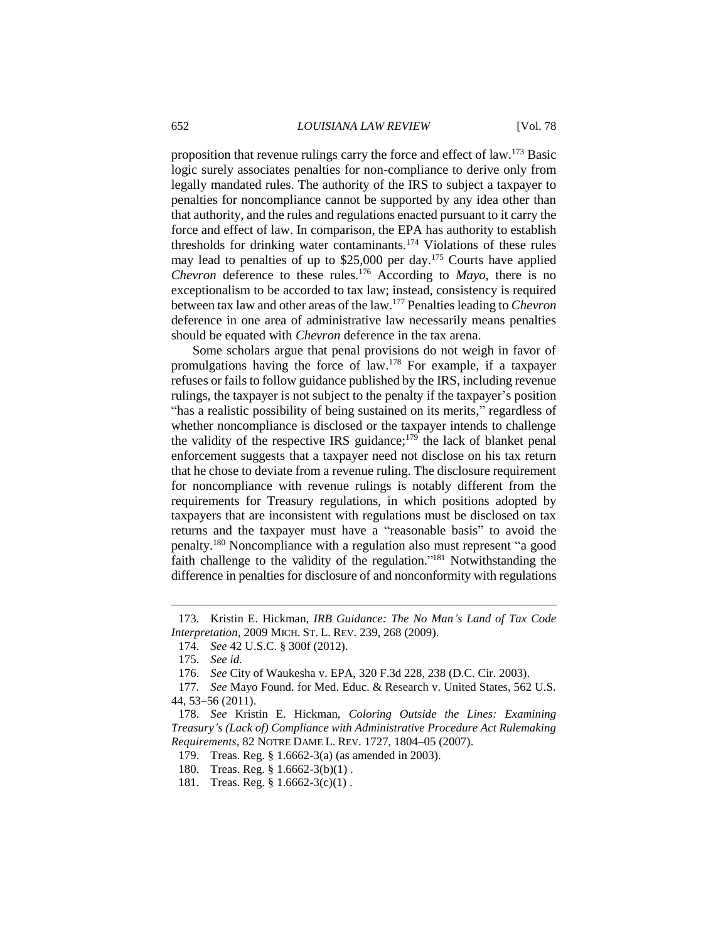proposition that revenue rulings carry the force and effect of law.<sup>173</sup> Basic logic surely associates penalties for non-compliance to derive only from legally mandated rules. The authority of the IRS to subject a taxpayer to penalties for noncompliance cannot be supported by any idea other than that authority, and the rules and regulations enacted pursuant to it carry the force and effect of law. In comparison, the EPA has authority to establish thresholds for drinking water contaminants.<sup>174</sup> Violations of these rules may lead to penalties of up to  $$25,000$  per day.<sup>175</sup> Courts have applied *Chevron* deference to these rules.<sup>176</sup> According to *Mayo*, there is no exceptionalism to be accorded to tax law; instead, consistency is required between tax law and other areas of the law.<sup>177</sup> Penalties leading to *Chevron* deference in one area of administrative law necessarily means penalties should be equated with *Chevron* deference in the tax arena.

Some scholars argue that penal provisions do not weigh in favor of promulgations having the force of law.<sup>178</sup> For example, if a taxpayer refuses or fails to follow guidance published by the IRS, including revenue rulings, the taxpayer is not subject to the penalty if the taxpayer's position "has a realistic possibility of being sustained on its merits," regardless of whether noncompliance is disclosed or the taxpayer intends to challenge the validity of the respective IRS guidance;<sup>179</sup> the lack of blanket penal enforcement suggests that a taxpayer need not disclose on his tax return that he chose to deviate from a revenue ruling. The disclosure requirement for noncompliance with revenue rulings is notably different from the requirements for Treasury regulations, in which positions adopted by taxpayers that are inconsistent with regulations must be disclosed on tax returns and the taxpayer must have a "reasonable basis" to avoid the penalty.<sup>180</sup> Noncompliance with a regulation also must represent "a good faith challenge to the validity of the regulation."<sup>181</sup> Notwithstanding the difference in penalties for disclosure of and nonconformity with regulations

- 180. Treas. Reg. § 1.6662-3(b)(1) .
- 181. Treas. Reg. § 1.6662-3(c)(1) .

<sup>173.</sup> Kristin E. Hickman, *IRB Guidance: The No Man's Land of Tax Code Interpretation*, 2009 MICH. ST. L. REV. 239, 268 (2009).

<sup>174.</sup> *See* 42 U.S.C. § 300f (2012).

<sup>175.</sup> *See id.*

<sup>176.</sup> *See* City of Waukesha v. EPA, 320 F.3d 228, 238 (D.C. Cir. 2003).

<sup>177.</sup> *See* Mayo Found. for Med. Educ. & Research v. United States, 562 U.S. 44, 53–56 (2011).

<sup>178.</sup> *See* Kristin E. Hickman, *Coloring Outside the Lines: Examining Treasury's (Lack of) Compliance with Administrative Procedure Act Rulemaking Requirements*, 82 NOTRE DAME L. REV. 1727, 1804–05 (2007).

<sup>179.</sup> Treas. Reg. § 1.6662-3(a) (as amended in 2003).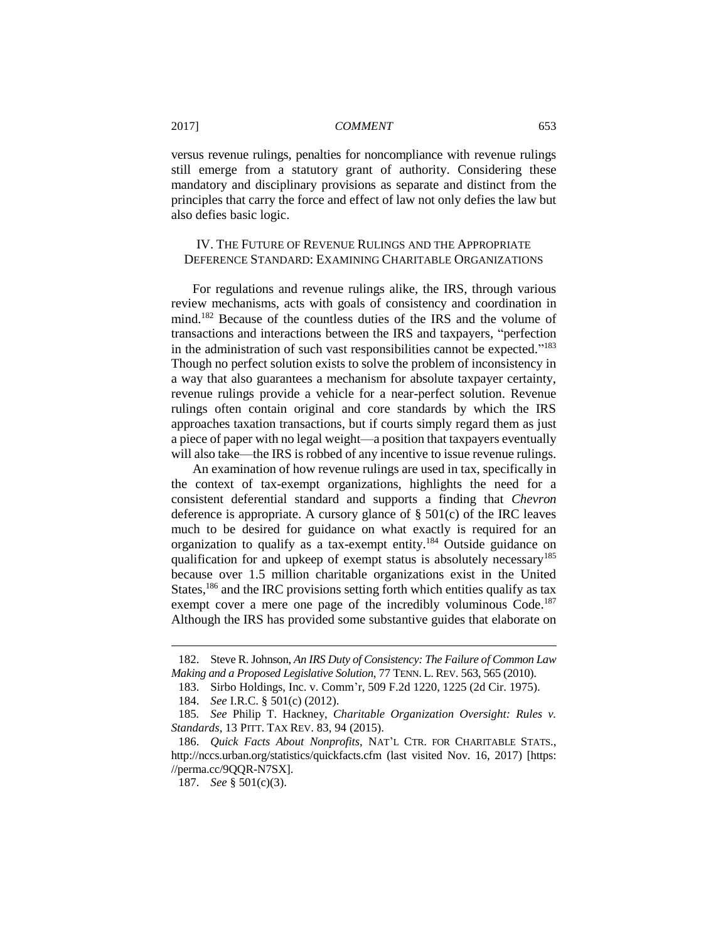versus revenue rulings, penalties for noncompliance with revenue rulings still emerge from a statutory grant of authority. Considering these mandatory and disciplinary provisions as separate and distinct from the principles that carry the force and effect of law not only defies the law but also defies basic logic.

## IV. THE FUTURE OF REVENUE RULINGS AND THE APPROPRIATE DEFERENCE STANDARD: EXAMINING CHARITABLE ORGANIZATIONS

For regulations and revenue rulings alike, the IRS, through various review mechanisms, acts with goals of consistency and coordination in mind.<sup>182</sup> Because of the countless duties of the IRS and the volume of transactions and interactions between the IRS and taxpayers, "perfection in the administration of such vast responsibilities cannot be expected."<sup>183</sup> Though no perfect solution exists to solve the problem of inconsistency in a way that also guarantees a mechanism for absolute taxpayer certainty, revenue rulings provide a vehicle for a near-perfect solution. Revenue rulings often contain original and core standards by which the IRS approaches taxation transactions, but if courts simply regard them as just a piece of paper with no legal weight—a position that taxpayers eventually will also take—the IRS is robbed of any incentive to issue revenue rulings.

An examination of how revenue rulings are used in tax, specifically in the context of tax-exempt organizations, highlights the need for a consistent deferential standard and supports a finding that *Chevron* deference is appropriate. A cursory glance of  $\S$  501(c) of the IRC leaves much to be desired for guidance on what exactly is required for an organization to qualify as a tax-exempt entity.<sup>184</sup> Outside guidance on qualification for and upkeep of exempt status is absolutely necessary<sup>185</sup> because over 1.5 million charitable organizations exist in the United States,<sup>186</sup> and the IRC provisions setting forth which entities qualify as tax exempt cover a mere one page of the incredibly voluminous Code.<sup>187</sup> Although the IRS has provided some substantive guides that elaborate on

<sup>182.</sup> Steve R. Johnson, *An IRS Duty of Consistency: The Failure of Common Law Making and a Proposed Legislative Solution*, 77 TENN. L. REV. 563, 565 (2010).

<sup>183.</sup> Sirbo Holdings, Inc. v. Comm'r, 509 F.2d 1220, 1225 (2d Cir. 1975).

<sup>184.</sup> *See* I.R.C. § 501(c) (2012).

<sup>185</sup>*. See* Philip T. Hackney, *Charitable Organization Oversight: Rules v. Standards*, 13 PITT. TAX REV. 83, 94 (2015).

<sup>186.</sup> *Quick Facts About Nonprofits*, NAT'L CTR. FOR CHARITABLE STATS., http://nccs.urban.org/statistics/quickfacts.cfm (last visited Nov. 16, 2017) [https: //perma.cc/9QQR-N7SX].

<sup>187.</sup> *See* § 501(c)(3).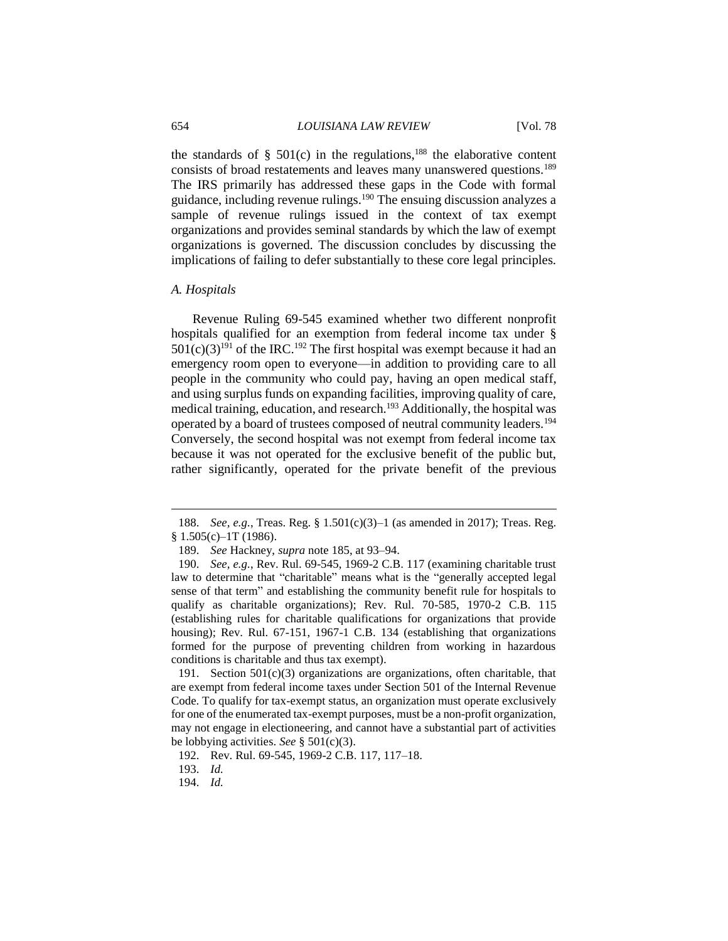the standards of  $\S$  501(c) in the regulations,<sup>188</sup> the elaborative content consists of broad restatements and leaves many unanswered questions.<sup>189</sup> The IRS primarily has addressed these gaps in the Code with formal guidance, including revenue rulings.<sup>190</sup> The ensuing discussion analyzes a sample of revenue rulings issued in the context of tax exempt organizations and provides seminal standards by which the law of exempt organizations is governed. The discussion concludes by discussing the implications of failing to defer substantially to these core legal principles.

## *A. Hospitals*

 $\overline{a}$ 

Revenue Ruling 69-545 examined whether two different nonprofit hospitals qualified for an exemption from federal income tax under §  $501(c)(3)^{191}$  of the IRC.<sup>192</sup> The first hospital was exempt because it had an emergency room open to everyone—in addition to providing care to all people in the community who could pay, having an open medical staff, and using surplus funds on expanding facilities, improving quality of care, medical training, education, and research.<sup>193</sup> Additionally, the hospital was operated by a board of trustees composed of neutral community leaders.<sup>194</sup> Conversely, the second hospital was not exempt from federal income tax because it was not operated for the exclusive benefit of the public but, rather significantly, operated for the private benefit of the previous

191. Section 501(c)(3) organizations are organizations, often charitable, that are exempt from federal income taxes under Section 501 of the Internal Revenue Code. To qualify for tax-exempt status, an organization must operate exclusively for one of the enumerated tax-exempt purposes, must be a non-profit organization, may not engage in electioneering, and cannot have a substantial part of activities be lobbying activities. *See* § 501(c)(3).

<sup>188.</sup> *See, e.g.*, Treas. Reg. § 1.501(c)(3)–1 (as amended in 2017); Treas. Reg.  $§ 1.505(c) - 1T(1986).$ 

<sup>189.</sup> *See* Hackney, *supra* note 185, at 93–94.

<sup>190.</sup> *See, e.g.*, Rev. Rul. 69-545, 1969-2 C.B. 117 (examining charitable trust law to determine that "charitable" means what is the "generally accepted legal sense of that term" and establishing the community benefit rule for hospitals to qualify as charitable organizations); Rev. Rul. 70-585, 1970-2 C.B. 115 (establishing rules for charitable qualifications for organizations that provide housing); Rev. Rul. 67-151, 1967-1 C.B. 134 (establishing that organizations formed for the purpose of preventing children from working in hazardous conditions is charitable and thus tax exempt).

<sup>192.</sup> Rev. Rul. 69-545, 1969-2 C.B. 117, 117–18.

<sup>193.</sup> *Id.*

<sup>194.</sup> *Id.*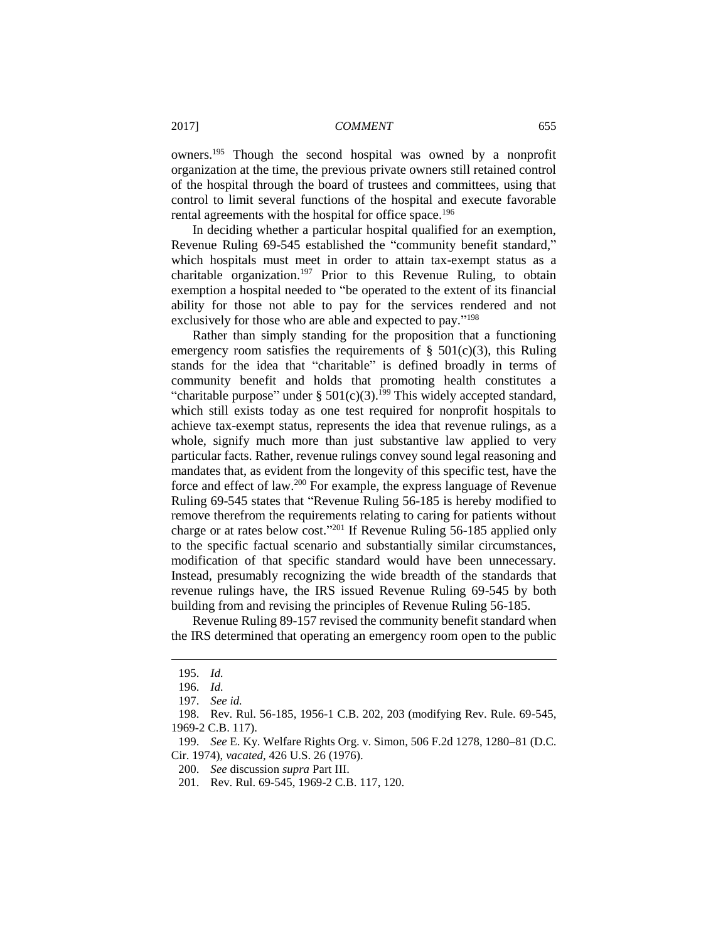owners.<sup>195</sup> Though the second hospital was owned by a nonprofit organization at the time, the previous private owners still retained control of the hospital through the board of trustees and committees, using that control to limit several functions of the hospital and execute favorable rental agreements with the hospital for office space.<sup>196</sup>

In deciding whether a particular hospital qualified for an exemption, Revenue Ruling 69-545 established the "community benefit standard," which hospitals must meet in order to attain tax-exempt status as a charitable organization.<sup>197</sup> Prior to this Revenue Ruling, to obtain exemption a hospital needed to "be operated to the extent of its financial ability for those not able to pay for the services rendered and not exclusively for those who are able and expected to pay."<sup>198</sup>

Rather than simply standing for the proposition that a functioning emergency room satisfies the requirements of  $\S$  501(c)(3), this Ruling stands for the idea that "charitable" is defined broadly in terms of community benefit and holds that promoting health constitutes a "charitable purpose" under §  $501(c)(3)$ .<sup>199</sup> This widely accepted standard, which still exists today as one test required for nonprofit hospitals to achieve tax-exempt status, represents the idea that revenue rulings, as a whole, signify much more than just substantive law applied to very particular facts. Rather, revenue rulings convey sound legal reasoning and mandates that, as evident from the longevity of this specific test, have the force and effect of law.<sup>200</sup> For example, the express language of Revenue Ruling 69-545 states that "Revenue Ruling 56-185 is hereby modified to remove therefrom the requirements relating to caring for patients without charge or at rates below cost." <sup>201</sup> If Revenue Ruling 56-185 applied only to the specific factual scenario and substantially similar circumstances, modification of that specific standard would have been unnecessary. Instead, presumably recognizing the wide breadth of the standards that revenue rulings have, the IRS issued Revenue Ruling 69-545 by both building from and revising the principles of Revenue Ruling 56-185.

Revenue Ruling 89-157 revised the community benefit standard when the IRS determined that operating an emergency room open to the public

<sup>195.</sup> *Id.*

<sup>196.</sup> *Id.*

<sup>197.</sup> *See id.*

<sup>198.</sup> Rev. Rul. 56-185, 1956-1 C.B. 202, 203 (modifying Rev. Rule. 69-545, 1969-2 C.B. 117).

<sup>199.</sup> *See* E. Ky. Welfare Rights Org. v. Simon, 506 F.2d 1278, 1280–81 (D.C. Cir. 1974), *vacated*, 426 U.S. 26 (1976).

<sup>200.</sup> *See* discussion *supra* Part III.

<sup>201.</sup> Rev. Rul. 69-545, 1969-2 C.B. 117, 120.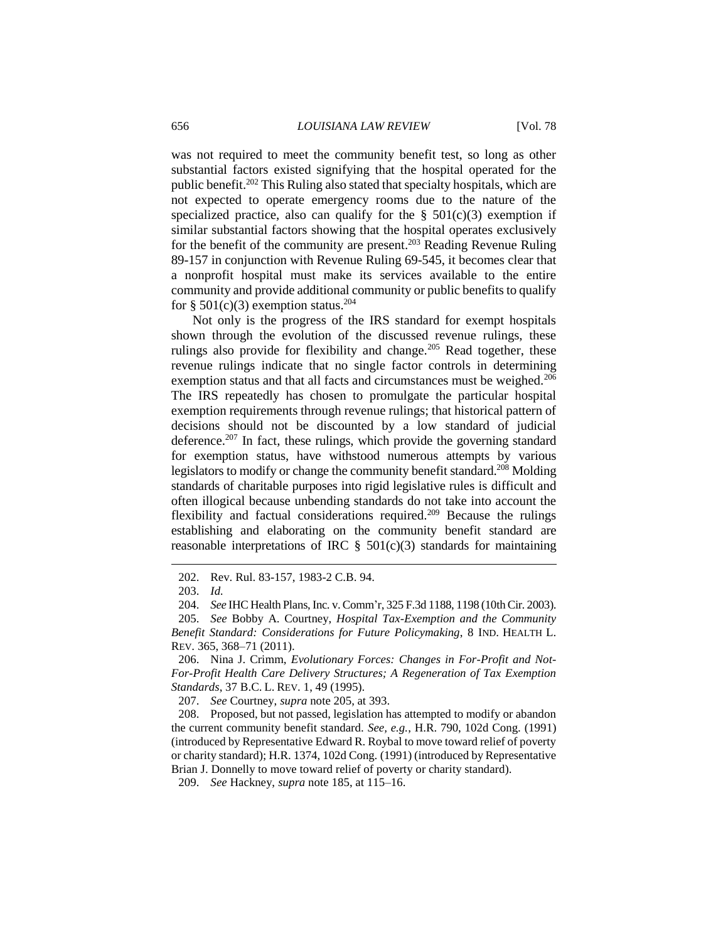was not required to meet the community benefit test, so long as other substantial factors existed signifying that the hospital operated for the public benefit.<sup>202</sup> This Ruling also stated that specialty hospitals, which are not expected to operate emergency rooms due to the nature of the specialized practice, also can qualify for the  $\S$  501(c)(3) exemption if similar substantial factors showing that the hospital operates exclusively for the benefit of the community are present. <sup>203</sup> Reading Revenue Ruling 89-157 in conjunction with Revenue Ruling 69-545, it becomes clear that a nonprofit hospital must make its services available to the entire community and provide additional community or public benefits to qualify for § 501(c)(3) exemption status.<sup>204</sup>

Not only is the progress of the IRS standard for exempt hospitals shown through the evolution of the discussed revenue rulings, these rulings also provide for flexibility and change.<sup>205</sup> Read together, these revenue rulings indicate that no single factor controls in determining exemption status and that all facts and circumstances must be weighed.<sup>206</sup> The IRS repeatedly has chosen to promulgate the particular hospital exemption requirements through revenue rulings; that historical pattern of decisions should not be discounted by a low standard of judicial deference.<sup>207</sup> In fact, these rulings, which provide the governing standard for exemption status, have withstood numerous attempts by various legislators to modify or change the community benefit standard. <sup>208</sup> Molding standards of charitable purposes into rigid legislative rules is difficult and often illogical because unbending standards do not take into account the flexibility and factual considerations required.<sup>209</sup> Because the rulings establishing and elaborating on the community benefit standard are reasonable interpretations of IRC  $\S$  501(c)(3) standards for maintaining

 $\overline{a}$ 

207. *See* Courtney, *supra* note 205, at 393.

208. Proposed, but not passed, legislation has attempted to modify or abandon the current community benefit standard. *See, e.g.*, H.R. 790, 102d Cong. (1991) (introduced by Representative Edward R. Roybal to move toward relief of poverty or charity standard); H.R. 1374, 102d Cong. (1991) (introduced by Representative Brian J. Donnelly to move toward relief of poverty or charity standard).

<sup>202.</sup> Rev. Rul. 83-157, 1983-2 C.B. 94.

<sup>203.</sup> *Id.*

<sup>204.</sup> *See* IHC Health Plans, Inc. v. Comm'r, 325 F.3d 1188, 1198 (10th Cir. 2003).

<sup>205.</sup> *See* Bobby A. Courtney, *Hospital Tax-Exemption and the Community Benefit Standard: Considerations for Future Policymaking*, 8 IND. HEALTH L. REV. 365, 368–71 (2011).

<sup>206.</sup> Nina J. Crimm, *Evolutionary Forces: Changes in For-Profit and Not-For-Profit Health Care Delivery Structures; A Regeneration of Tax Exemption Standards*, 37 B.C. L. REV. 1, 49 (1995).

<sup>209.</sup> *See* Hackney, *supra* note 185, at 115–16.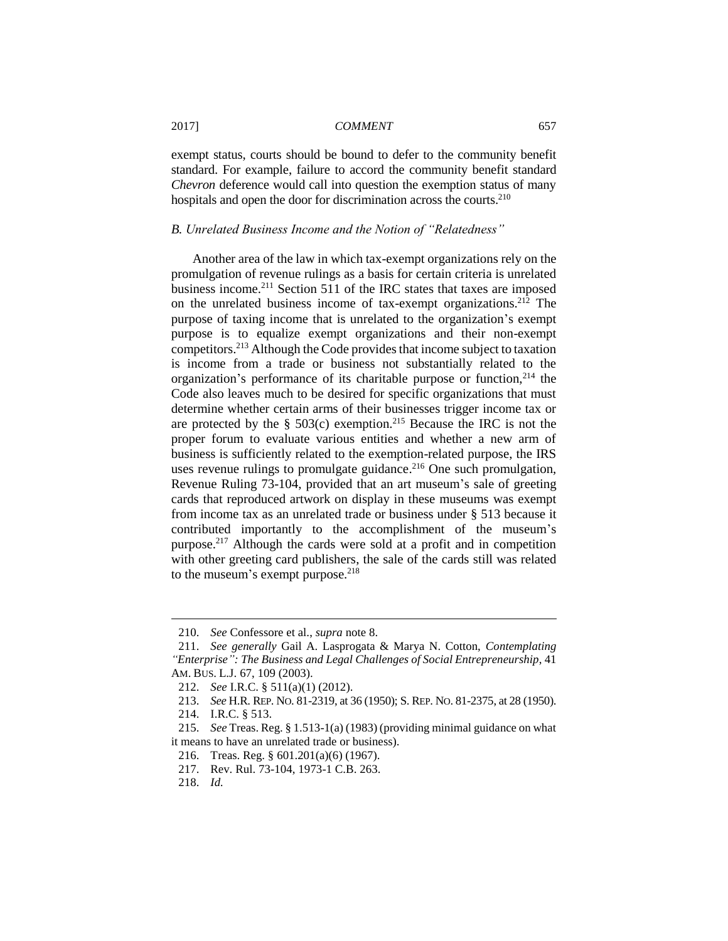exempt status, courts should be bound to defer to the community benefit standard. For example, failure to accord the community benefit standard *Chevron* deference would call into question the exemption status of many hospitals and open the door for discrimination across the courts.<sup>210</sup>

## *B. Unrelated Business Income and the Notion of "Relatedness"*

Another area of the law in which tax-exempt organizations rely on the promulgation of revenue rulings as a basis for certain criteria is unrelated business income.<sup>211</sup> Section 511 of the IRC states that taxes are imposed on the unrelated business income of tax-exempt organizations.<sup>212</sup> The purpose of taxing income that is unrelated to the organization's exempt purpose is to equalize exempt organizations and their non-exempt competitors.<sup>213</sup> Although the Code provides that income subject to taxation is income from a trade or business not substantially related to the organization's performance of its charitable purpose or function, $214$  the Code also leaves much to be desired for specific organizations that must determine whether certain arms of their businesses trigger income tax or are protected by the  $\S$  503(c) exemption.<sup>215</sup> Because the IRC is not the proper forum to evaluate various entities and whether a new arm of business is sufficiently related to the exemption-related purpose, the IRS uses revenue rulings to promulgate guidance. <sup>216</sup> One such promulgation, Revenue Ruling 73-104, provided that an art museum's sale of greeting cards that reproduced artwork on display in these museums was exempt from income tax as an unrelated trade or business under § 513 because it contributed importantly to the accomplishment of the museum's purpose.<sup>217</sup> Although the cards were sold at a profit and in competition with other greeting card publishers, the sale of the cards still was related to the museum's exempt purpose. $218$ 

<sup>210.</sup> *See* Confessore et al., *supra* note 8.

<sup>211.</sup> *See generally* Gail A. Lasprogata & Marya N. Cotton, *Contemplating "Enterprise": The Business and Legal Challenges of Social Entrepreneurship*, 41 AM. BUS. L.J. 67, 109 (2003).

<sup>212.</sup> *See* I.R.C. § 511(a)(1) (2012).

<sup>213.</sup> *See* H.R. REP. NO. 81-2319, at 36 (1950); S. REP. NO. 81-2375, at 28 (1950).

<sup>214.</sup> I.R.C. § 513.

<sup>215.</sup> *See* Treas. Reg. § 1.513-1(a) (1983) (providing minimal guidance on what it means to have an unrelated trade or business).

<sup>216.</sup> Treas. Reg. § 601.201(a)(6) (1967).

<sup>217.</sup> Rev. Rul. 73-104, 1973-1 C.B. 263.

<sup>218.</sup> *Id.*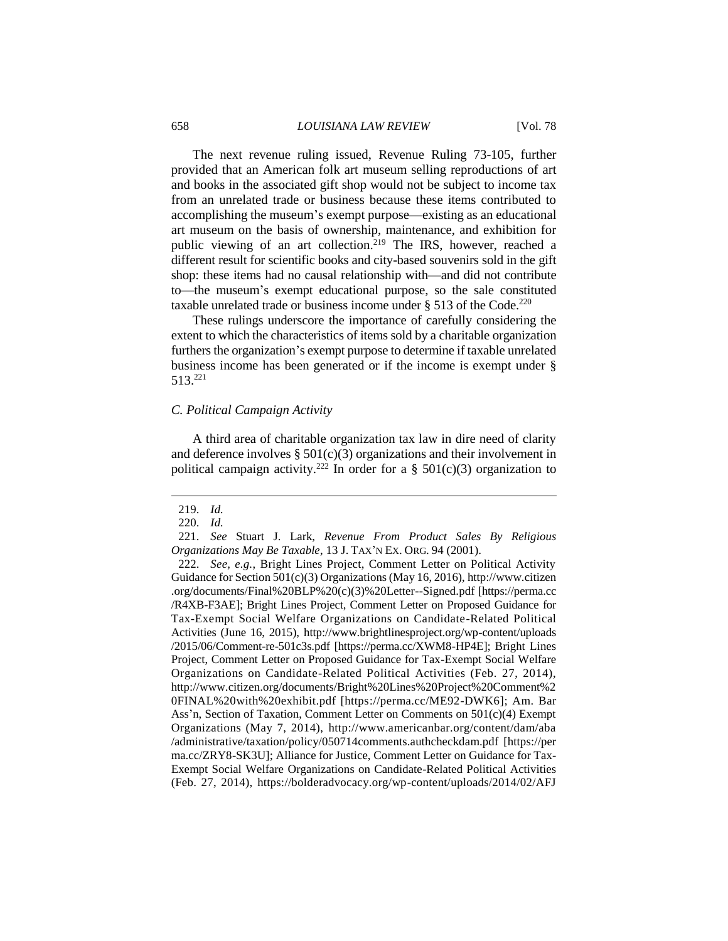#### 658 *LOUISIANA LAW REVIEW* [Vol. 78

The next revenue ruling issued, Revenue Ruling 73-105, further provided that an American folk art museum selling reproductions of art and books in the associated gift shop would not be subject to income tax from an unrelated trade or business because these items contributed to accomplishing the museum's exempt purpose—existing as an educational art museum on the basis of ownership, maintenance, and exhibition for public viewing of an art collection.<sup>219</sup> The IRS, however, reached a different result for scientific books and city-based souvenirs sold in the gift shop: these items had no causal relationship with—and did not contribute to—the museum's exempt educational purpose, so the sale constituted taxable unrelated trade or business income under  $\S 513$  of the Code.<sup>220</sup>

These rulings underscore the importance of carefully considering the extent to which the characteristics of items sold by a charitable organization furthers the organization's exempt purpose to determine if taxable unrelated business income has been generated or if the income is exempt under § 513. 221

## *C. Political Campaign Activity*

A third area of charitable organization tax law in dire need of clarity and deference involves  $\S$  501(c)(3) organizations and their involvement in political campaign activity.<sup>222</sup> In order for a § 501(c)(3) organization to

<sup>219.</sup> *Id.*

<sup>220.</sup> *Id.*

<sup>221.</sup> *See* Stuart J. Lark, *Revenue From Product Sales By Religious Organizations May Be Taxable*, 13 J. TAX'N EX. ORG. 94 (2001).

<sup>222.</sup> *See, e.g.*, Bright Lines Project, Comment Letter on Political Activity Guidance for Section  $501(c)(3)$  Organizations (May 16, 2016), http://www.citizen .org/documents/Final%20BLP%20(c)(3)%20Letter--Signed.pdf [https://perma.cc /R4XB-F3AE]; Bright Lines Project, Comment Letter on Proposed Guidance for Tax-Exempt Social Welfare Organizations on Candidate-Related Political Activities (June 16, 2015), http://www.brightlinesproject.org/wp-content/uploads /2015/06/Comment-re-501c3s.pdf [https://perma.cc/XWM8-HP4E]; Bright Lines Project, Comment Letter on Proposed Guidance for Tax-Exempt Social Welfare Organizations on Candidate-Related Political Activities (Feb. 27, 2014), http://www.citizen.org/documents/Bright%20Lines%20Project%20Comment%2 0FINAL%20with%20exhibit.pdf [https://perma.cc/ME92-DWK6]; Am. Bar Ass'n, Section of Taxation, Comment Letter on Comments on 501(c)(4) Exempt Organizations (May 7, 2014), http://www.americanbar.org/content/dam/aba /administrative/taxation/policy/050714comments.authcheckdam.pdf [https://per ma.cc/ZRY8-SK3U]; Alliance for Justice, Comment Letter on Guidance for Tax-Exempt Social Welfare Organizations on Candidate-Related Political Activities (Feb. 27, 2014), https://bolderadvocacy.org/wp-content/uploads/2014/02/AFJ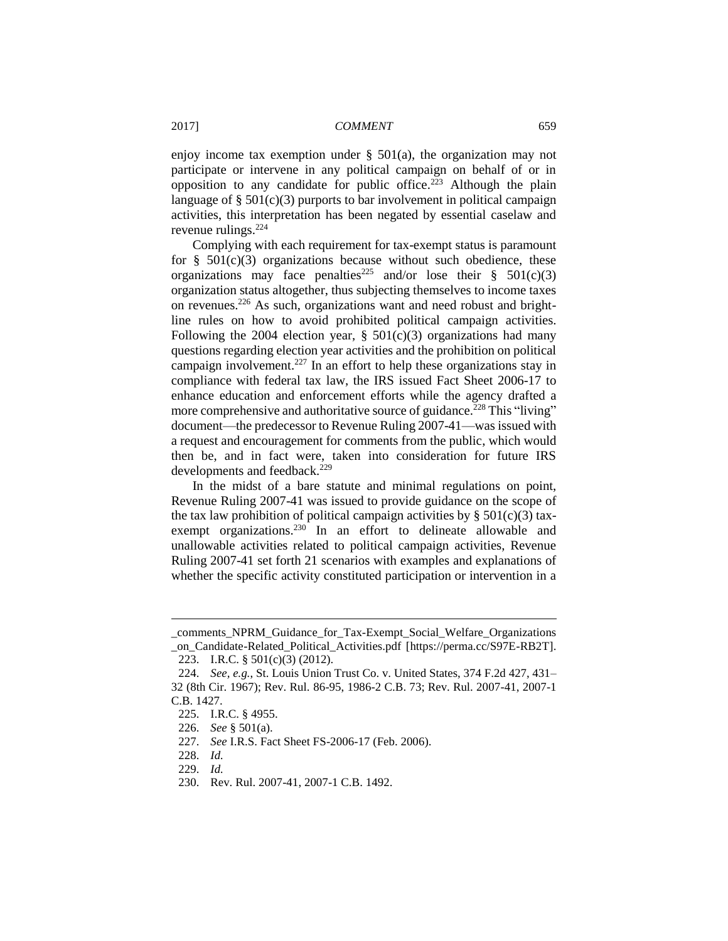enjoy income tax exemption under § 501(a), the organization may not participate or intervene in any political campaign on behalf of or in opposition to any candidate for public office.<sup>223</sup> Although the plain language of  $\S 501(c)(3)$  purports to bar involvement in political campaign activities, this interpretation has been negated by essential caselaw and revenue rulings.<sup>224</sup>

Complying with each requirement for tax-exempt status is paramount for  $§$  501(c)(3) organizations because without such obedience, these organizations may face penalties<sup>225</sup> and/or lose their  $\S$  501(c)(3) organization status altogether, thus subjecting themselves to income taxes on revenues.<sup>226</sup> As such, organizations want and need robust and brightline rules on how to avoid prohibited political campaign activities. Following the 2004 election year,  $\S$  501(c)(3) organizations had many questions regarding election year activities and the prohibition on political campaign involvement.<sup>227</sup> In an effort to help these organizations stay in compliance with federal tax law, the IRS issued Fact Sheet 2006-17 to enhance education and enforcement efforts while the agency drafted a more comprehensive and authoritative source of guidance.<sup>228</sup> This "living" document—the predecessor to Revenue Ruling 2007-41—was issued with a request and encouragement for comments from the public, which would then be, and in fact were, taken into consideration for future IRS developments and feedback.<sup>229</sup>

In the midst of a bare statute and minimal regulations on point, Revenue Ruling 2007-41 was issued to provide guidance on the scope of the tax law prohibition of political campaign activities by  $\S 501(c)(3)$  taxexempt organizations.<sup>230</sup> In an effort to delineate allowable and unallowable activities related to political campaign activities, Revenue Ruling 2007-41 set forth 21 scenarios with examples and explanations of whether the specific activity constituted participation or intervention in a

\_comments\_NPRM\_Guidance\_for\_Tax-Exempt\_Social\_Welfare\_Organizations \_on\_Candidate-Related\_Political\_Activities.pdf [https://perma.cc/S97E-RB2T]. 223. I.R.C. § 501(c)(3) (2012).

<sup>224.</sup> *See, e.g.*, St. Louis Union Trust Co. v. United States, 374 F.2d 427, 431– 32 (8th Cir. 1967); Rev. Rul. 86-95, 1986-2 C.B. 73; Rev. Rul. 2007-41, 2007-1 C.B. 1427.

<sup>225.</sup> I.R.C. § 4955.

<sup>226.</sup> *See* § 501(a).

<sup>227.</sup> *See* I.R.S. Fact Sheet FS-2006-17 (Feb. 2006).

<sup>228.</sup> *Id.*

<sup>229.</sup> *Id.*

<sup>230.</sup> Rev. Rul. 2007-41, 2007-1 C.B. 1492.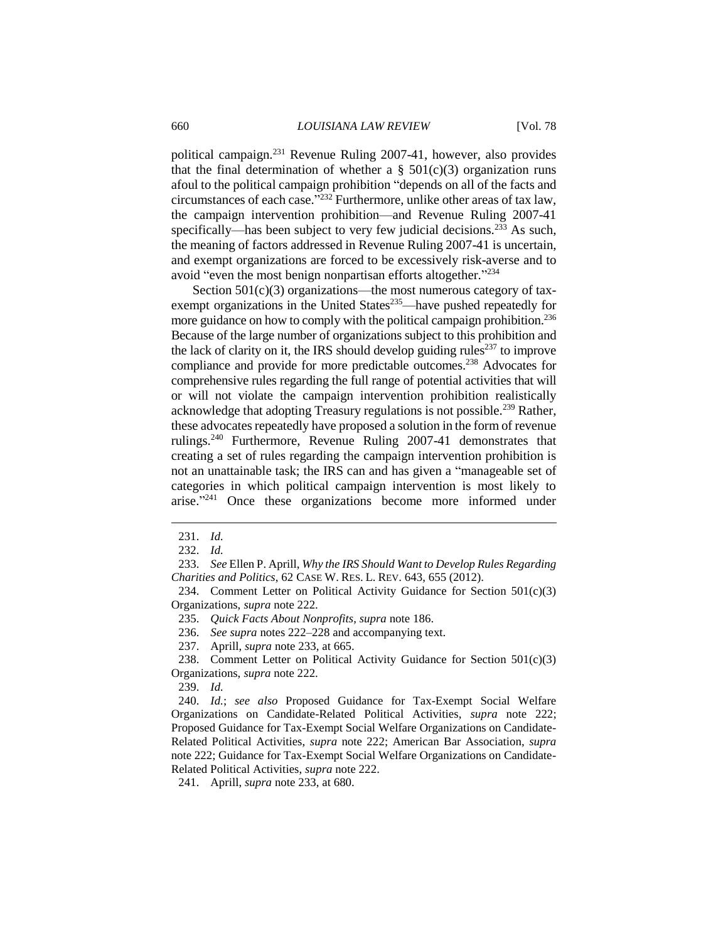political campaign.<sup>231</sup> Revenue Ruling 2007-41, however, also provides that the final determination of whether a  $\S$  501(c)(3) organization runs afoul to the political campaign prohibition "depends on all of the facts and circumstances of each case." <sup>232</sup> Furthermore, unlike other areas of tax law, the campaign intervention prohibition—and Revenue Ruling 2007-41 specifically—has been subject to very few judicial decisions.<sup>233</sup> As such, the meaning of factors addressed in Revenue Ruling 2007-41 is uncertain, and exempt organizations are forced to be excessively risk-averse and to avoid "even the most benign nonpartisan efforts altogether."<sup>234</sup>

Section  $501(c)(3)$  organizations—the most numerous category of taxexempt organizations in the United States $^{235}$ —have pushed repeatedly for more guidance on how to comply with the political campaign prohibition.<sup>236</sup> Because of the large number of organizations subject to this prohibition and the lack of clarity on it, the IRS should develop guiding rules<sup>237</sup> to improve compliance and provide for more predictable outcomes.<sup>238</sup> Advocates for comprehensive rules regarding the full range of potential activities that will or will not violate the campaign intervention prohibition realistically acknowledge that adopting Treasury regulations is not possible.<sup>239</sup> Rather, these advocates repeatedly have proposed a solution in the form of revenue rulings.<sup>240</sup> Furthermore, Revenue Ruling 2007-41 demonstrates that creating a set of rules regarding the campaign intervention prohibition is not an unattainable task; the IRS can and has given a "manageable set of categories in which political campaign intervention is most likely to arise."<sup>241</sup> Once these organizations become more informed under

<sup>231.</sup> *Id.*

<sup>232.</sup> *Id.*

<sup>233.</sup> *See* Ellen P. Aprill, *Why the IRS Should Want to Develop Rules Regarding Charities and Politics*, 62 CASE W. RES. L. REV. 643, 655 (2012).

<sup>234.</sup> Comment Letter on Political Activity Guidance for Section 501(c)(3) Organizations, *supra* note 222.

<sup>235.</sup> *Quick Facts About Nonprofits*, *supra* note 186.

<sup>236.</sup> *See supra* notes 222–228 and accompanying text.

<sup>237.</sup> Aprill, *supra* note 233, at 665.

<sup>238.</sup> Comment Letter on Political Activity Guidance for Section 501(c)(3) Organizations, *supra* note 222.

<sup>239.</sup> *Id.*

<sup>240.</sup> *Id.*; *see also* Proposed Guidance for Tax-Exempt Social Welfare Organizations on Candidate-Related Political Activities, *supra* note 222; Proposed Guidance for Tax-Exempt Social Welfare Organizations on Candidate-Related Political Activities, *supra* note 222; American Bar Association, *supra* note 222; Guidance for Tax-Exempt Social Welfare Organizations on Candidate-Related Political Activities, *supra* note 222.

<sup>241.</sup> Aprill, *supra* note 233, at 680.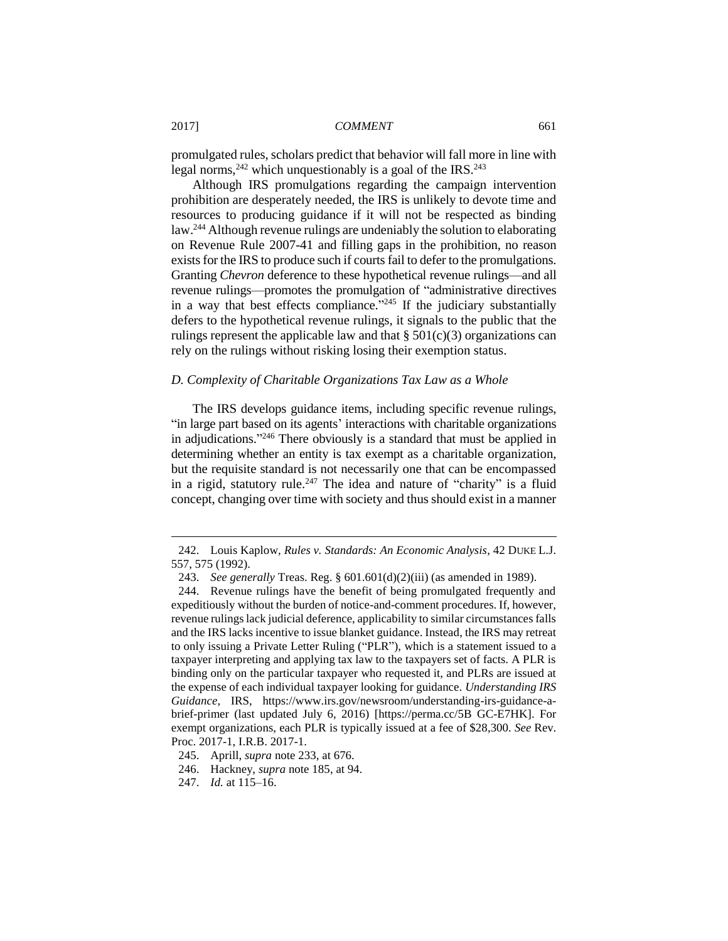promulgated rules, scholars predict that behavior will fall more in line with legal norms,<sup>242</sup> which unquestionably is a goal of the IRS.<sup>243</sup>

Although IRS promulgations regarding the campaign intervention prohibition are desperately needed, the IRS is unlikely to devote time and resources to producing guidance if it will not be respected as binding law.<sup>244</sup> Although revenue rulings are undeniably the solution to elaborating on Revenue Rule 2007-41 and filling gaps in the prohibition, no reason exists for the IRS to produce such if courts fail to defer to the promulgations. Granting *Chevron* deference to these hypothetical revenue rulings—and all revenue rulings—promotes the promulgation of "administrative directives in a way that best effects compliance."<sup>245</sup> If the judiciary substantially defers to the hypothetical revenue rulings, it signals to the public that the rulings represent the applicable law and that  $\S 501(c)(3)$  organizations can rely on the rulings without risking losing their exemption status.

## *D. Complexity of Charitable Organizations Tax Law as a Whole*

The IRS develops guidance items, including specific revenue rulings, "in large part based on its agents' interactions with charitable organizations in adjudications."<sup>246</sup> There obviously is a standard that must be applied in determining whether an entity is tax exempt as a charitable organization, but the requisite standard is not necessarily one that can be encompassed in a rigid, statutory rule.<sup>247</sup> The idea and nature of "charity" is a fluid concept, changing over time with society and thus should exist in a manner

<sup>242.</sup> Louis Kaplow, *Rules v. Standards: An Economic Analysis*, 42 DUKE L.J. 557, 575 (1992).

<sup>243.</sup> *See generally* Treas. Reg. § 601.601(d)(2)(iii) (as amended in 1989).

<sup>244.</sup> Revenue rulings have the benefit of being promulgated frequently and expeditiously without the burden of notice-and-comment procedures. If, however, revenue rulings lack judicial deference, applicability to similar circumstances falls and the IRS lacks incentive to issue blanket guidance. Instead, the IRS may retreat to only issuing a Private Letter Ruling ("PLR"), which is a statement issued to a taxpayer interpreting and applying tax law to the taxpayers set of facts. A PLR is binding only on the particular taxpayer who requested it, and PLRs are issued at the expense of each individual taxpayer looking for guidance. *Understanding IRS Guidance*, IRS, https://www.irs.gov/newsroom/understanding-irs-guidance-abrief-primer (last updated July 6, 2016) [https://perma.cc/5B GC-E7HK]. For exempt organizations, each PLR is typically issued at a fee of \$28,300. *See* Rev. Proc. 2017-1, I.R.B. 2017-1.

<sup>245.</sup> Aprill, *supra* note 233, at 676.

<sup>246.</sup> Hackney, *supra* note 185, at 94.

<sup>247.</sup> *Id.* at 115–16.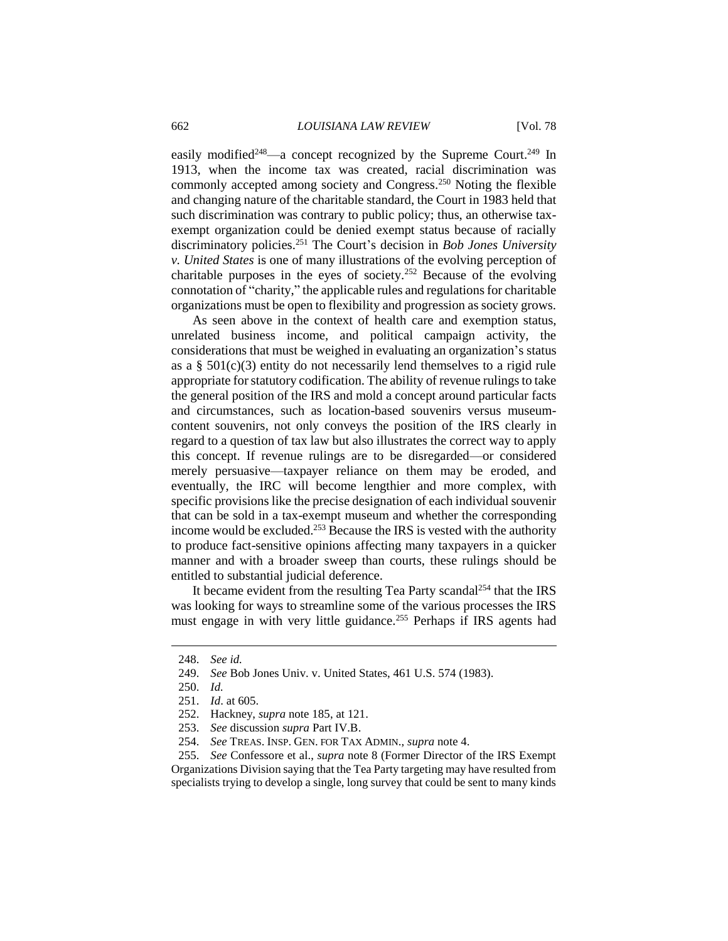easily modified<sup>248</sup>—a concept recognized by the Supreme Court.<sup>249</sup> In 1913, when the income tax was created, racial discrimination was commonly accepted among society and Congress.<sup>250</sup> Noting the flexible and changing nature of the charitable standard, the Court in 1983 held that such discrimination was contrary to public policy; thus, an otherwise taxexempt organization could be denied exempt status because of racially discriminatory policies.<sup>251</sup> The Court's decision in *Bob Jones University v. United States* is one of many illustrations of the evolving perception of charitable purposes in the eyes of society.<sup>252</sup> Because of the evolving connotation of "charity," the applicable rules and regulations for charitable organizations must be open to flexibility and progression as society grows.

As seen above in the context of health care and exemption status, unrelated business income, and political campaign activity, the considerations that must be weighed in evaluating an organization's status as a  $\S$  501(c)(3) entity do not necessarily lend themselves to a rigid rule appropriate for statutory codification. The ability of revenue rulings to take the general position of the IRS and mold a concept around particular facts and circumstances, such as location-based souvenirs versus museumcontent souvenirs, not only conveys the position of the IRS clearly in regard to a question of tax law but also illustrates the correct way to apply this concept. If revenue rulings are to be disregarded—or considered merely persuasive—taxpayer reliance on them may be eroded, and eventually, the IRC will become lengthier and more complex, with specific provisions like the precise designation of each individual souvenir that can be sold in a tax-exempt museum and whether the corresponding income would be excluded.<sup>253</sup> Because the IRS is vested with the authority to produce fact-sensitive opinions affecting many taxpayers in a quicker manner and with a broader sweep than courts, these rulings should be entitled to substantial judicial deference.

It became evident from the resulting Tea Party scandal<sup>254</sup> that the IRS was looking for ways to streamline some of the various processes the IRS must engage in with very little guidance.<sup>255</sup> Perhaps if IRS agents had

 $\overline{a}$ 

255. *See* Confessore et al., *supra* note 8 (Former Director of the IRS Exempt Organizations Division saying that the Tea Party targeting may have resulted from specialists trying to develop a single, long survey that could be sent to many kinds

<sup>248.</sup> *See id.*

<sup>249.</sup> *See* Bob Jones Univ. v. United States, 461 U.S. 574 (1983).

<sup>250.</sup> *Id.*

<sup>251.</sup> *Id*. at 605.

<sup>252.</sup> Hackney, *supra* note 185, at 121.

<sup>253.</sup> *See* discussion *supra* Part IV.B.

<sup>254.</sup> *See* TREAS. INSP. GEN. FOR TAX ADMIN., *supra* note 4.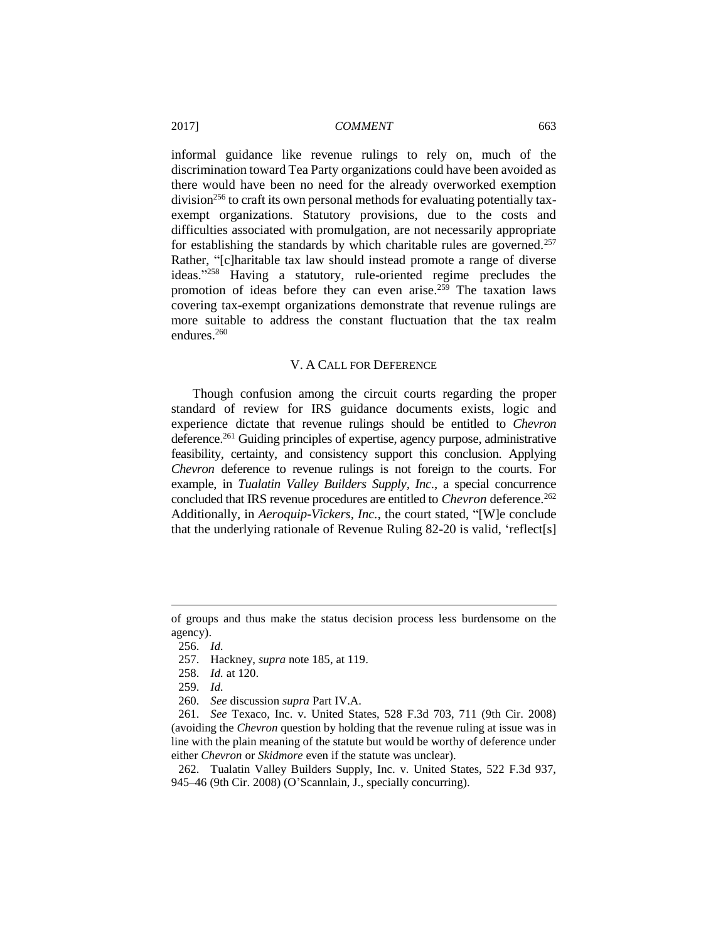informal guidance like revenue rulings to rely on, much of the discrimination toward Tea Party organizations could have been avoided as there would have been no need for the already overworked exemption  $division<sup>256</sup>$  to craft its own personal methods for evaluating potentially taxexempt organizations. Statutory provisions, due to the costs and difficulties associated with promulgation, are not necessarily appropriate for establishing the standards by which charitable rules are governed.<sup>257</sup> Rather, "[c]haritable tax law should instead promote a range of diverse ideas." <sup>258</sup> Having a statutory, rule-oriented regime precludes the promotion of ideas before they can even arise.<sup>259</sup> The taxation laws covering tax-exempt organizations demonstrate that revenue rulings are more suitable to address the constant fluctuation that the tax realm endures.<sup>260</sup>

## V. A CALL FOR DEFERENCE

Though confusion among the circuit courts regarding the proper standard of review for IRS guidance documents exists, logic and experience dictate that revenue rulings should be entitled to *Chevron* deference.<sup>261</sup> Guiding principles of expertise, agency purpose, administrative feasibility, certainty, and consistency support this conclusion. Applying *Chevron* deference to revenue rulings is not foreign to the courts. For example, in *Tualatin Valley Builders Supply, Inc.*, a special concurrence concluded that IRS revenue procedures are entitled to *Chevron* deference.<sup>262</sup> Additionally, in *Aeroquip-Vickers, Inc.*, the court stated, "[W]e conclude that the underlying rationale of Revenue Ruling 82-20 is valid, 'reflect[s]

of groups and thus make the status decision process less burdensome on the agency).

<sup>256.</sup> *Id.*

<sup>257.</sup> Hackney, *supra* note 185, at 119.

<sup>258.</sup> *Id.* at 120.

<sup>259.</sup> *Id.*

<sup>260.</sup> *See* discussion *supra* Part IV.A.

<sup>261.</sup> *See* Texaco, Inc. v. United States, 528 F.3d 703, 711 (9th Cir. 2008) (avoiding the *Chevron* question by holding that the revenue ruling at issue was in line with the plain meaning of the statute but would be worthy of deference under either *Chevron* or *Skidmore* even if the statute was unclear).

<sup>262.</sup> Tualatin Valley Builders Supply, Inc. v. United States, 522 F.3d 937, 945–46 (9th Cir. 2008) (O'Scannlain, J., specially concurring).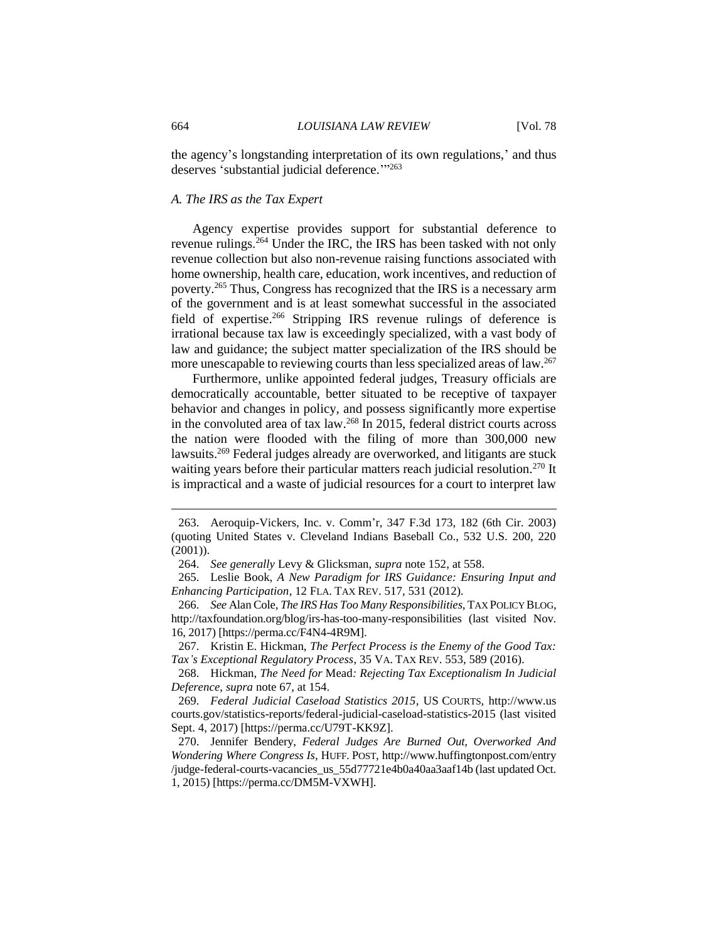the agency's longstanding interpretation of its own regulations,' and thus deserves 'substantial judicial deference."<sup>263</sup>

## *A. The IRS as the Tax Expert*

Agency expertise provides support for substantial deference to revenue rulings.<sup>264</sup> Under the IRC, the IRS has been tasked with not only revenue collection but also non-revenue raising functions associated with home ownership, health care, education, work incentives, and reduction of poverty.<sup>265</sup> Thus, Congress has recognized that the IRS is a necessary arm of the government and is at least somewhat successful in the associated field of expertise.<sup>266</sup> Stripping IRS revenue rulings of deference is irrational because tax law is exceedingly specialized, with a vast body of law and guidance; the subject matter specialization of the IRS should be more unescapable to reviewing courts than less specialized areas of law.<sup>267</sup>

Furthermore, unlike appointed federal judges, Treasury officials are democratically accountable, better situated to be receptive of taxpayer behavior and changes in policy, and possess significantly more expertise in the convoluted area of tax law.<sup>268</sup> In 2015, federal district courts across the nation were flooded with the filing of more than 300,000 new lawsuits.<sup>269</sup> Federal judges already are overworked, and litigants are stuck waiting years before their particular matters reach judicial resolution.<sup>270</sup> It is impractical and a waste of judicial resources for a court to interpret law

<sup>263.</sup> Aeroquip-Vickers, Inc. v. Comm'r, 347 F.3d 173, 182 (6th Cir. 2003) (quoting United States v. Cleveland Indians Baseball Co., 532 U.S. 200, 220 (2001)).

<sup>264.</sup> *See generally* Levy & Glicksman, *supra* note 152, at 558.

<sup>265.</sup> Leslie Book, *A New Paradigm for IRS Guidance: Ensuring Input and Enhancing Participation*, 12 FLA. TAX REV. 517, 531 (2012).

<sup>266.</sup> *See* Alan Cole, *The IRS Has Too Many Responsibilities*, TAX POLICY BLOG, http://taxfoundation.org/blog/irs-has-too-many-responsibilities (last visited Nov. 16, 2017) [https://perma.cc/F4N4-4R9M].

<sup>267.</sup> Kristin E. Hickman, *The Perfect Process is the Enemy of the Good Tax: Tax's Exceptional Regulatory Process*, 35 VA. TAX REV. 553, 589 (2016).

<sup>268.</sup> Hickman, *The Need for* Mead*: Rejecting Tax Exceptionalism In Judicial Deference*, *supra* note 67, at 154.

<sup>269.</sup> *Federal Judicial Caseload Statistics 2015*, US COURTS, http://www.us courts.gov/statistics-reports/federal-judicial-caseload-statistics-2015 (last visited Sept. 4, 2017) [https://perma.cc/U79T-KK9Z].

<sup>270.</sup> Jennifer Bendery, *Federal Judges Are Burned Out, Overworked And Wondering Where Congress Is*, HUFF. POST, http://www.huffingtonpost.com/entry /judge-federal-courts-vacancies\_us\_55d77721e4b0a40aa3aaf14b (last updated Oct. 1, 2015) [https://perma.cc/DM5M-VXWH].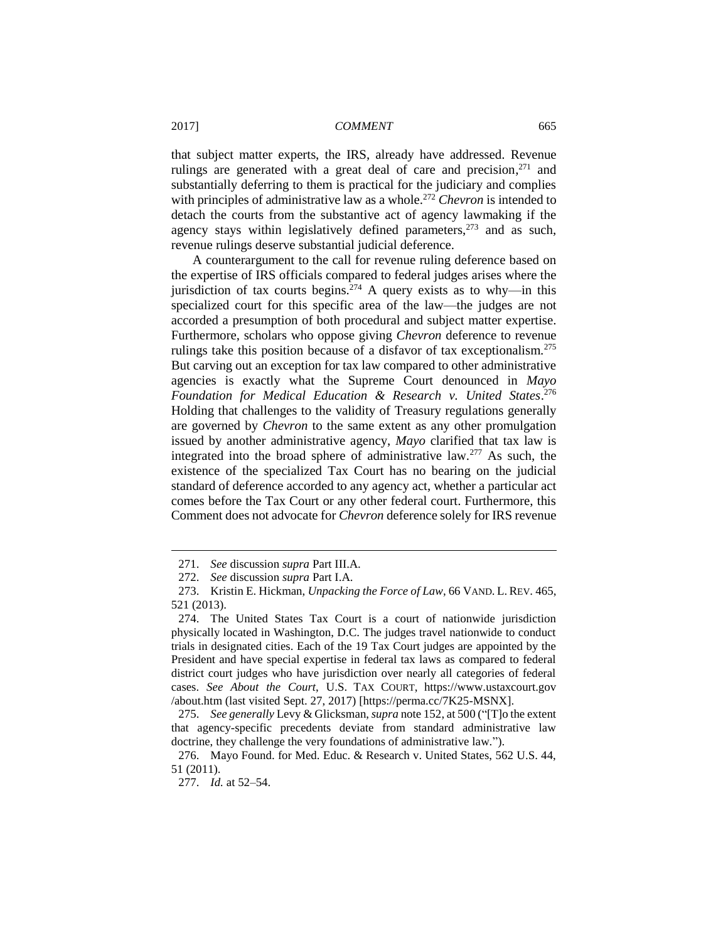that subject matter experts, the IRS, already have addressed. Revenue rulings are generated with a great deal of care and precision,<sup>271</sup> and substantially deferring to them is practical for the judiciary and complies with principles of administrative law as a whole.<sup>272</sup> *Chevron* is intended to detach the courts from the substantive act of agency lawmaking if the agency stays within legislatively defined parameters, $273$  and as such, revenue rulings deserve substantial judicial deference.

A counterargument to the call for revenue ruling deference based on the expertise of IRS officials compared to federal judges arises where the jurisdiction of tax courts begins.<sup>274</sup> A query exists as to why—in this specialized court for this specific area of the law—the judges are not accorded a presumption of both procedural and subject matter expertise. Furthermore, scholars who oppose giving *Chevron* deference to revenue rulings take this position because of a disfavor of tax exceptionalism.<sup>275</sup> But carving out an exception for tax law compared to other administrative agencies is exactly what the Supreme Court denounced in *Mayo Foundation for Medical Education & Research v. United States*. 276 Holding that challenges to the validity of Treasury regulations generally are governed by *Chevron* to the same extent as any other promulgation issued by another administrative agency, *Mayo* clarified that tax law is integrated into the broad sphere of administrative law.<sup>277</sup> As such, the existence of the specialized Tax Court has no bearing on the judicial standard of deference accorded to any agency act, whether a particular act comes before the Tax Court or any other federal court. Furthermore, this Comment does not advocate for *Chevron* deference solely for IRS revenue

<sup>271.</sup> *See* discussion *supra* Part III.A.

<sup>272.</sup> *See* discussion *supra* Part I.A.

<sup>273.</sup> Kristin E. Hickman, *Unpacking the Force of Law*, 66 VAND. L. REV. 465, 521 (2013).

<sup>274.</sup> The United States Tax Court is a court of nationwide jurisdiction physically located in Washington, D.C. The judges travel nationwide to conduct trials in designated cities. Each of the 19 Tax Court judges are appointed by the President and have special expertise in federal tax laws as compared to federal district court judges who have jurisdiction over nearly all categories of federal cases. *See About the Court*, U.S. TAX COURT, https://www.ustaxcourt.gov /about.htm (last visited Sept. 27, 2017) [https://perma.cc/7K25-MSNX].

<sup>275.</sup> *See generally* Levy & Glicksman, *supra* note 152, at 500 ("[T]o the extent that agency-specific precedents deviate from standard administrative law doctrine, they challenge the very foundations of administrative law.").

<sup>276.</sup> Mayo Found. for Med. Educ. & Research v. United States, 562 U.S. 44, 51 (2011).

<sup>277.</sup> *Id.* at 52–54.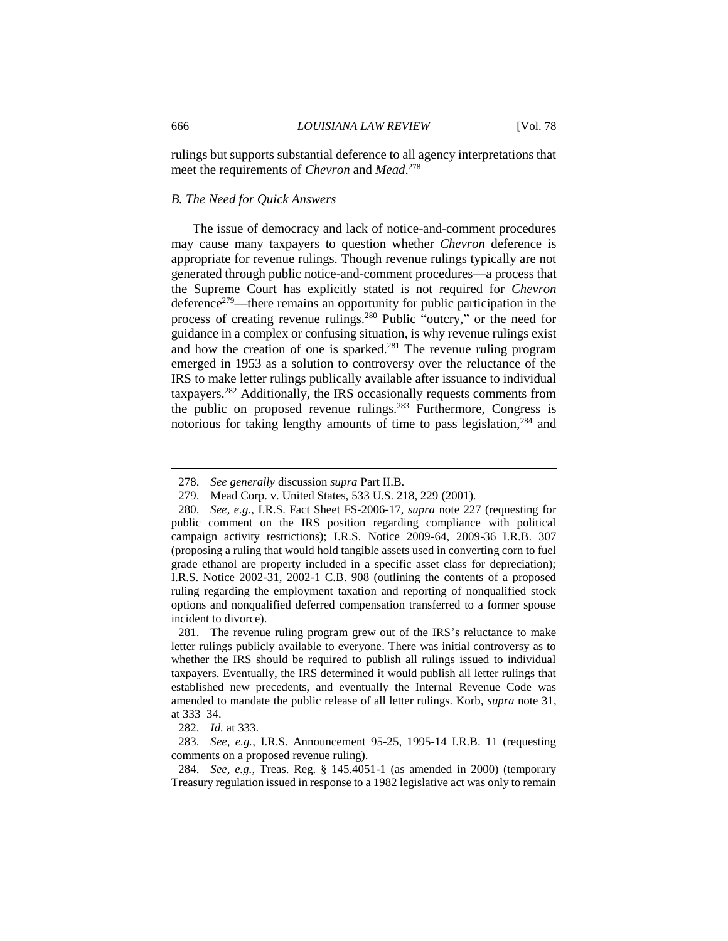rulings but supports substantial deference to all agency interpretations that meet the requirements of *Chevron* and *Mead*. 278

## *B. The Need for Quick Answers*

The issue of democracy and lack of notice-and-comment procedures may cause many taxpayers to question whether *Chevron* deference is appropriate for revenue rulings. Though revenue rulings typically are not generated through public notice-and-comment procedures—a process that the Supreme Court has explicitly stated is not required for *Chevron* deference<sup>279</sup>—there remains an opportunity for public participation in the process of creating revenue rulings.<sup>280</sup> Public "outcry," or the need for guidance in a complex or confusing situation, is why revenue rulings exist and how the creation of one is sparked.<sup>281</sup> The revenue ruling program emerged in 1953 as a solution to controversy over the reluctance of the IRS to make letter rulings publically available after issuance to individual taxpayers.<sup>282</sup> Additionally, the IRS occasionally requests comments from the public on proposed revenue rulings.<sup>283</sup> Furthermore, Congress is notorious for taking lengthy amounts of time to pass legislation,<sup>284</sup> and

<sup>278.</sup> *See generally* discussion *supra* Part II.B.

<sup>279.</sup> Mead Corp. v. United States, 533 U.S. 218, 229 (2001).

<sup>280.</sup> *See, e.g.*, I.R.S. Fact Sheet FS-2006-17, *supra* note 227 (requesting for public comment on the IRS position regarding compliance with political campaign activity restrictions); I.R.S. Notice 2009-64, 2009-36 I.R.B. 307 (proposing a ruling that would hold tangible assets used in converting corn to fuel grade ethanol are property included in a specific asset class for depreciation); I.R.S. Notice 2002-31, 2002-1 C.B. 908 (outlining the contents of a proposed ruling regarding the employment taxation and reporting of nonqualified stock options and nonqualified deferred compensation transferred to a former spouse incident to divorce).

<sup>281.</sup> The revenue ruling program grew out of the IRS's reluctance to make letter rulings publicly available to everyone. There was initial controversy as to whether the IRS should be required to publish all rulings issued to individual taxpayers. Eventually, the IRS determined it would publish all letter rulings that established new precedents, and eventually the Internal Revenue Code was amended to mandate the public release of all letter rulings. Korb, *supra* note 31, at 333–34.

<sup>282.</sup> *Id.* at 333.

<sup>283.</sup> *See, e.g.*, I.R.S. Announcement 95-25, 1995-14 I.R.B. 11 (requesting comments on a proposed revenue ruling).

<sup>284.</sup> *See, e.g.*, Treas. Reg. § 145.4051-1 (as amended in 2000) (temporary Treasury regulation issued in response to a 1982 legislative act was only to remain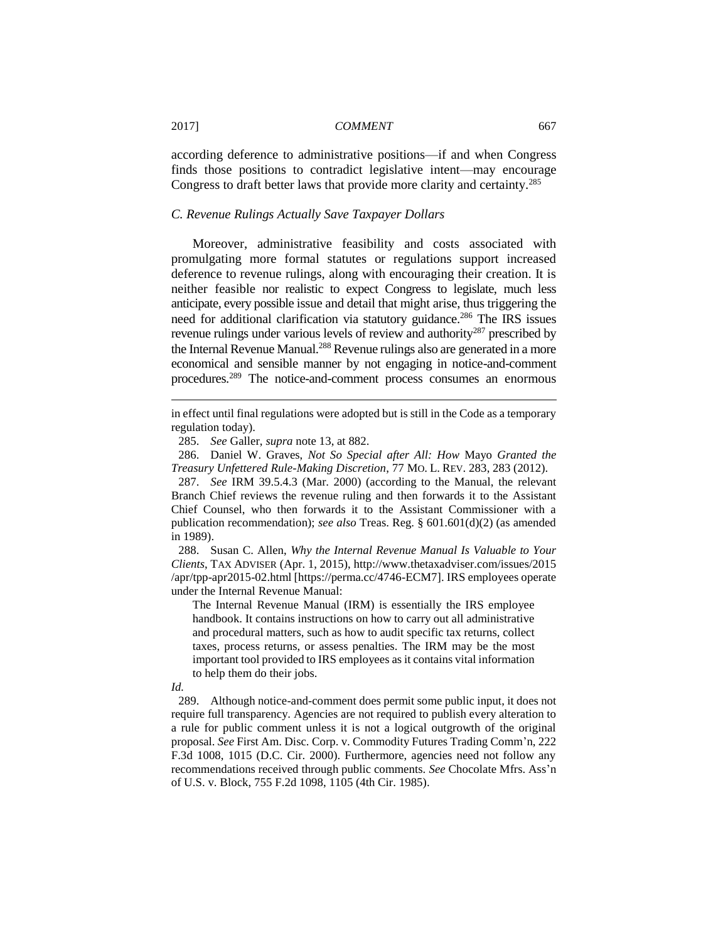according deference to administrative positions—if and when Congress finds those positions to contradict legislative intent—may encourage Congress to draft better laws that provide more clarity and certainty.<sup>285</sup>

## *C. Revenue Rulings Actually Save Taxpayer Dollars*

Moreover, administrative feasibility and costs associated with promulgating more formal statutes or regulations support increased deference to revenue rulings, along with encouraging their creation. It is neither feasible nor realistic to expect Congress to legislate, much less anticipate, every possible issue and detail that might arise, thus triggering the need for additional clarification via statutory guidance.<sup>286</sup> The IRS issues revenue rulings under various levels of review and authority<sup>287</sup> prescribed by the Internal Revenue Manual.<sup>288</sup> Revenue rulings also are generated in a more economical and sensible manner by not engaging in notice-and-comment procedures.<sup>289</sup> The notice-and-comment process consumes an enormous

286. Daniel W. Graves, *Not So Special after All: How* Mayo *Granted the Treasury Unfettered Rule-Making Discretion*, 77 MO. L. REV. 283, 283 (2012).

287. *See* IRM 39.5.4.3 (Mar. 2000) (according to the Manual, the relevant Branch Chief reviews the revenue ruling and then forwards it to the Assistant Chief Counsel, who then forwards it to the Assistant Commissioner with a publication recommendation); *see also* Treas. Reg. § 601.601(d)(2) (as amended in 1989).

288. Susan C. Allen, *Why the Internal Revenue Manual Is Valuable to Your Clients*, TAX ADVISER (Apr. 1, 2015), http://www.thetaxadviser.com/issues/2015 /apr/tpp-apr2015-02.html [https://perma.cc/4746-ECM7]. IRS employees operate under the Internal Revenue Manual:

The Internal Revenue Manual (IRM) is essentially the IRS employee handbook. It contains instructions on how to carry out all administrative and procedural matters, such as how to audit specific tax returns, collect taxes, process returns, or assess penalties. The IRM may be the most important tool provided to IRS employees as it contains vital information to help them do their jobs.

 $\overline{a}$ 

289. Although notice-and-comment does permit some public input, it does not require full transparency. Agencies are not required to publish every alteration to a rule for public comment unless it is not a logical outgrowth of the original proposal. *See* First Am. Disc. Corp. v. Commodity Futures Trading Comm'n, 222 F.3d 1008, 1015 (D.C. Cir. 2000). Furthermore, agencies need not follow any recommendations received through public comments. *See* Chocolate Mfrs. Ass'n of U.S. v. Block, 755 F.2d 1098, 1105 (4th Cir. 1985).

in effect until final regulations were adopted but is still in the Code as a temporary regulation today).

<sup>285.</sup> *See* Galler, *supra* note 13, at 882.

*Id.*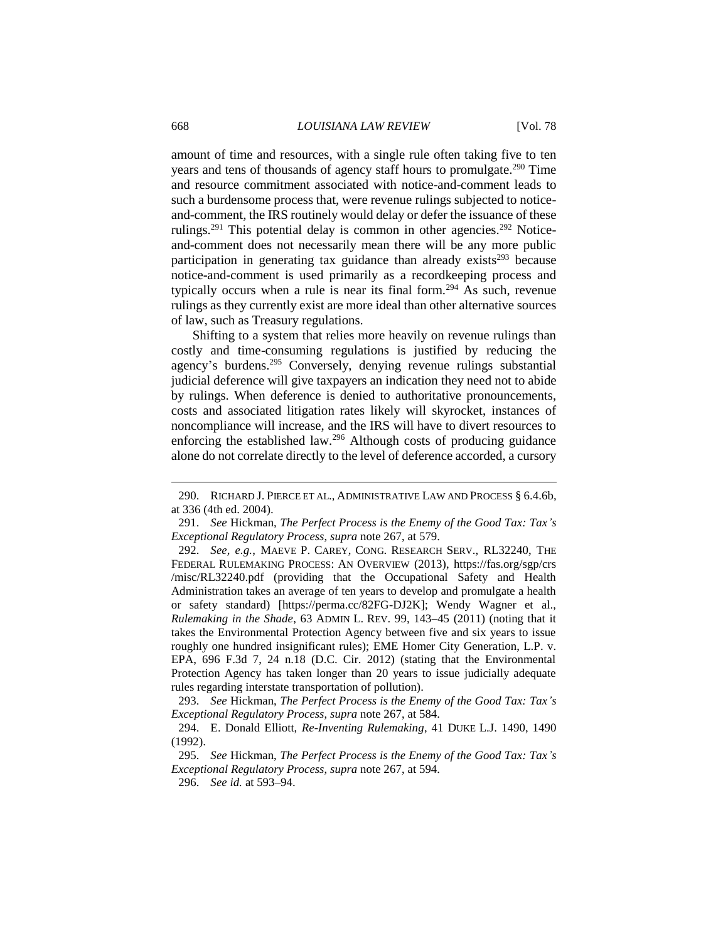amount of time and resources, with a single rule often taking five to ten years and tens of thousands of agency staff hours to promulgate. <sup>290</sup> Time and resource commitment associated with notice-and-comment leads to such a burdensome process that, were revenue rulings subjected to noticeand-comment, the IRS routinely would delay or defer the issuance of these rulings.<sup>291</sup> This potential delay is common in other agencies.<sup>292</sup> Noticeand-comment does not necessarily mean there will be any more public participation in generating tax guidance than already exists<sup>293</sup> because notice-and-comment is used primarily as a recordkeeping process and typically occurs when a rule is near its final form.<sup>294</sup> As such, revenue rulings as they currently exist are more ideal than other alternative sources of law, such as Treasury regulations.

Shifting to a system that relies more heavily on revenue rulings than costly and time-consuming regulations is justified by reducing the agency's burdens.<sup>295</sup> Conversely, denying revenue rulings substantial judicial deference will give taxpayers an indication they need not to abide by rulings. When deference is denied to authoritative pronouncements, costs and associated litigation rates likely will skyrocket, instances of noncompliance will increase, and the IRS will have to divert resources to enforcing the established law.<sup>296</sup> Although costs of producing guidance alone do not correlate directly to the level of deference accorded, a cursory

<sup>290.</sup> RICHARD J. PIERCE ET AL., ADMINISTRATIVE LAW AND PROCESS § 6.4.6b, at 336 (4th ed. 2004).

<sup>291.</sup> *See* Hickman, *The Perfect Process is the Enemy of the Good Tax: Tax's Exceptional Regulatory Process*, *supra* note 267, at 579.

<sup>292.</sup> *See, e.g.*, MAEVE P. CAREY, CONG. RESEARCH SERV., RL32240, THE FEDERAL RULEMAKING PROCESS: AN OVERVIEW (2013), https://fas.org/sgp/crs /misc/RL32240.pdf (providing that the Occupational Safety and Health Administration takes an average of ten years to develop and promulgate a health or safety standard) [https://perma.cc/82FG-DJ2K]; Wendy Wagner et al., *Rulemaking in the Shade*, 63 ADMIN L. REV. 99, 143–45 (2011) (noting that it takes the Environmental Protection Agency between five and six years to issue roughly one hundred insignificant rules); EME Homer City Generation, L.P. v. EPA, 696 F.3d 7, 24 n.18 (D.C. Cir. 2012) (stating that the Environmental Protection Agency has taken longer than 20 years to issue judicially adequate rules regarding interstate transportation of pollution).

<sup>293.</sup> *See* Hickman, *The Perfect Process is the Enemy of the Good Tax: Tax's Exceptional Regulatory Process*, *supra* note 267, at 584.

<sup>294.</sup> E. Donald Elliott, *Re-Inventing Rulemaking*, 41 DUKE L.J. 1490, 1490 (1992).

<sup>295.</sup> *See* Hickman, *The Perfect Process is the Enemy of the Good Tax: Tax's Exceptional Regulatory Process*, *supra* note 267, at 594.

<sup>296.</sup> *See id.* at 593–94.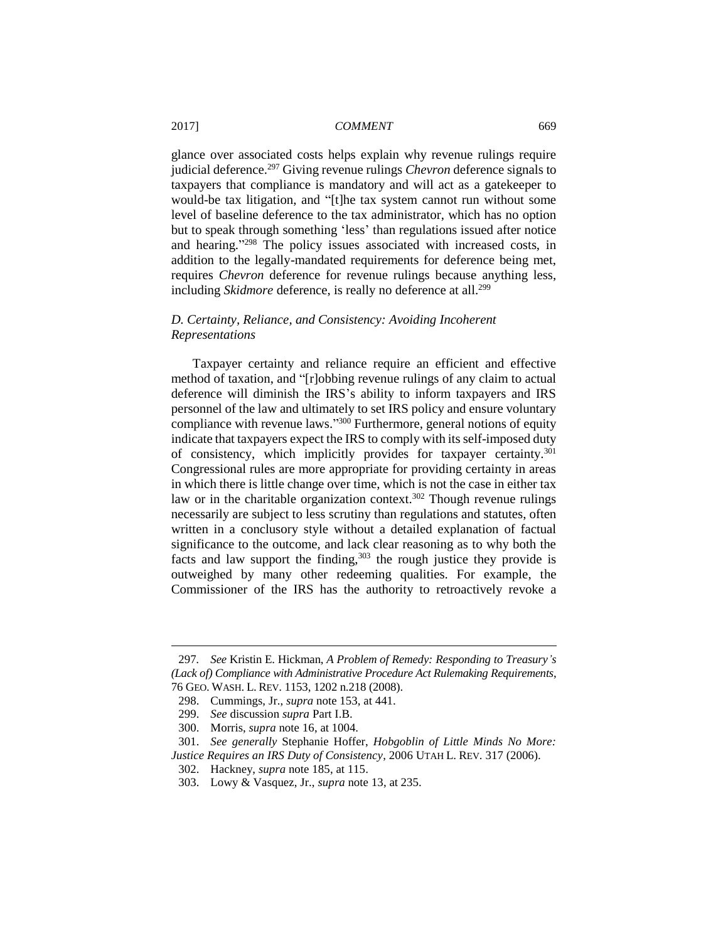glance over associated costs helps explain why revenue rulings require judicial deference.<sup>297</sup> Giving revenue rulings *Chevron* deference signals to taxpayers that compliance is mandatory and will act as a gatekeeper to would-be tax litigation, and "[t]he tax system cannot run without some level of baseline deference to the tax administrator, which has no option but to speak through something 'less' than regulations issued after notice and hearing." <sup>298</sup> The policy issues associated with increased costs, in addition to the legally-mandated requirements for deference being met, requires *Chevron* deference for revenue rulings because anything less, including *Skidmore* deference, is really no deference at all.<sup>299</sup>

## *D. Certainty, Reliance, and Consistency: Avoiding Incoherent Representations*

Taxpayer certainty and reliance require an efficient and effective method of taxation, and "[r]obbing revenue rulings of any claim to actual deference will diminish the IRS's ability to inform taxpayers and IRS personnel of the law and ultimately to set IRS policy and ensure voluntary compliance with revenue laws."<sup>300</sup> Furthermore, general notions of equity indicate that taxpayers expect the IRS to comply with its self-imposed duty of consistency, which implicitly provides for taxpayer certainty.<sup>301</sup> Congressional rules are more appropriate for providing certainty in areas in which there is little change over time, which is not the case in either tax law or in the charitable organization context.<sup>302</sup> Though revenue rulings necessarily are subject to less scrutiny than regulations and statutes, often written in a conclusory style without a detailed explanation of factual significance to the outcome, and lack clear reasoning as to why both the facts and law support the finding,  $303$  the rough justice they provide is outweighed by many other redeeming qualities. For example, the Commissioner of the IRS has the authority to retroactively revoke a

<sup>297</sup>*. See* Kristin E. Hickman, *A Problem of Remedy: Responding to Treasury's (Lack of) Compliance with Administrative Procedure Act Rulemaking Requirements*, 76 GEO. WASH. L. REV. 1153, 1202 n.218 (2008).

<sup>298.</sup> Cummings, Jr., *supra* note 153, at 441.

<sup>299.</sup> *See* discussion *supra* Part I.B.

<sup>300.</sup> Morris, *supra* note 16, at 1004.

<sup>301.</sup> *See generally* Stephanie Hoffer, *Hobgoblin of Little Minds No More: Justice Requires an IRS Duty of Consistency*, 2006 UTAH L. REV. 317 (2006).

<sup>302.</sup> Hackney, *supra* note 185, at 115.

<sup>303.</sup> Lowy & Vasquez, Jr., *supra* note 13, at 235.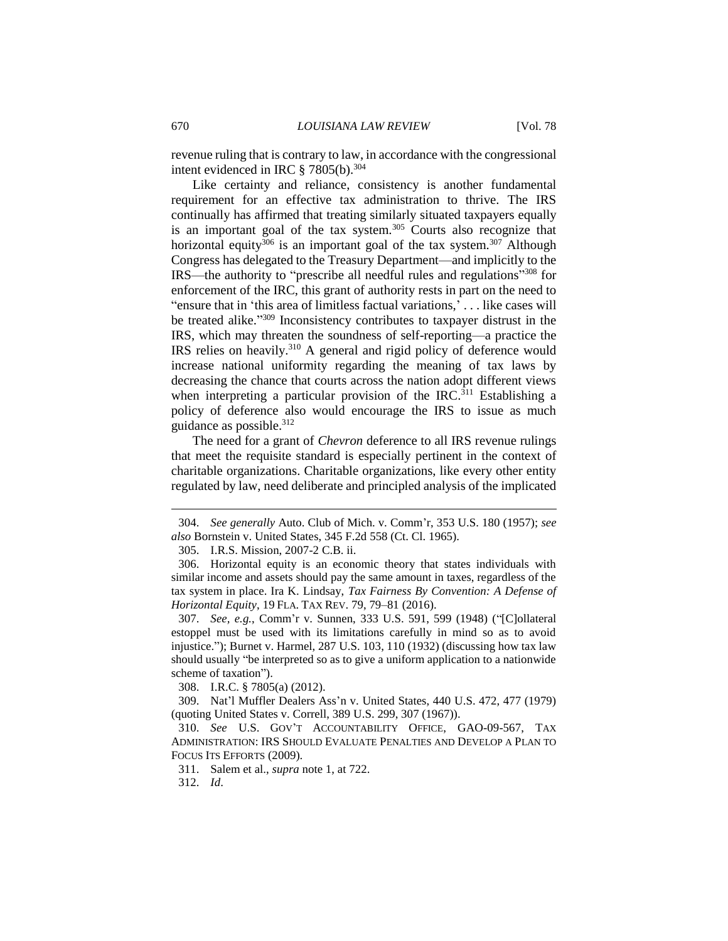revenue ruling that is contrary to law, in accordance with the congressional intent evidenced in IRC § 7805(b).<sup>304</sup>

Like certainty and reliance, consistency is another fundamental requirement for an effective tax administration to thrive. The IRS continually has affirmed that treating similarly situated taxpayers equally is an important goal of the tax system.<sup>305</sup> Courts also recognize that horizontal equity<sup>306</sup> is an important goal of the tax system.<sup>307</sup> Although Congress has delegated to the Treasury Department—and implicitly to the IRS—the authority to "prescribe all needful rules and regulations" <sup>308</sup> for enforcement of the IRC, this grant of authority rests in part on the need to "ensure that in 'this area of limitless factual variations,' . . . like cases will be treated alike." <sup>309</sup> Inconsistency contributes to taxpayer distrust in the IRS, which may threaten the soundness of self-reporting—a practice the IRS relies on heavily.<sup>310</sup> A general and rigid policy of deference would increase national uniformity regarding the meaning of tax laws by decreasing the chance that courts across the nation adopt different views when interpreting a particular provision of the IRC.<sup>311</sup> Establishing a policy of deference also would encourage the IRS to issue as much guidance as possible.<sup>312</sup>

The need for a grant of *Chevron* deference to all IRS revenue rulings that meet the requisite standard is especially pertinent in the context of charitable organizations. Charitable organizations, like every other entity regulated by law, need deliberate and principled analysis of the implicated

305. I.R.S. Mission, 2007-2 C.B. ii.

308. I.R.C. § 7805(a) (2012).

<sup>304.</sup> *See generally* Auto. Club of Mich. v. Comm'r, 353 U.S. 180 (1957); *see also* Bornstein v. United States, 345 F.2d 558 (Ct. Cl. 1965).

<sup>306.</sup> Horizontal equity is an economic theory that states individuals with similar income and assets should pay the same amount in taxes, regardless of the tax system in place. Ira K. Lindsay, *Tax Fairness By Convention: A Defense of Horizontal Equity*, 19 FLA. TAX REV. 79, 79–81 (2016).

<sup>307.</sup> *See, e.g.*, Comm'r v. Sunnen, 333 U.S. 591, 599 (1948) ("[C]ollateral estoppel must be used with its limitations carefully in mind so as to avoid injustice."); Burnet v. Harmel, 287 U.S. 103, 110 (1932) (discussing how tax law should usually "be interpreted so as to give a uniform application to a nationwide scheme of taxation").

<sup>309.</sup> Nat'l Muffler Dealers Ass'n v. United States, 440 U.S. 472, 477 (1979) (quoting United States v. Correll, 389 U.S. 299, 307 (1967)).

<sup>310.</sup> *See* U.S. GOV'T ACCOUNTABILITY OFFICE, GAO-09-567, TAX ADMINISTRATION: IRS SHOULD EVALUATE PENALTIES AND DEVELOP A PLAN TO FOCUS ITS EFFORTS (2009).

<sup>311.</sup> Salem et al., *supra* note 1, at 722.

<sup>312.</sup> *Id*.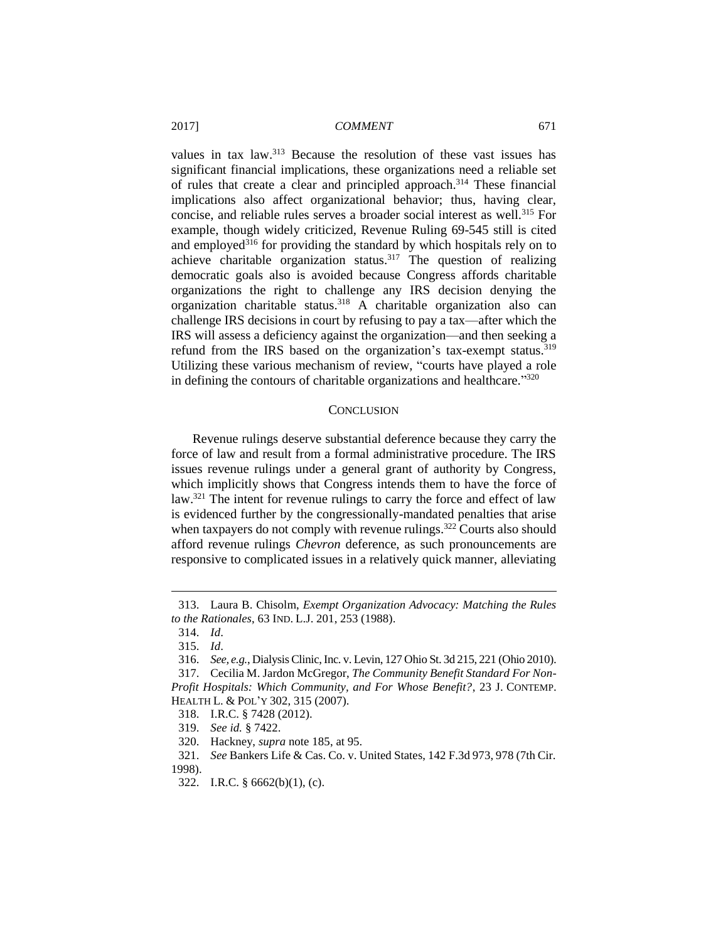values in tax law.<sup>313</sup> Because the resolution of these vast issues has significant financial implications, these organizations need a reliable set of rules that create a clear and principled approach.<sup>314</sup> These financial implications also affect organizational behavior; thus, having clear, concise, and reliable rules serves a broader social interest as well.<sup>315</sup> For example, though widely criticized, Revenue Ruling 69-545 still is cited and employed<sup>316</sup> for providing the standard by which hospitals rely on to achieve charitable organization status.<sup>317</sup> The question of realizing democratic goals also is avoided because Congress affords charitable organizations the right to challenge any IRS decision denying the organization charitable status.<sup>318</sup> A charitable organization also can challenge IRS decisions in court by refusing to pay a tax—after which the IRS will assess a deficiency against the organization—and then seeking a refund from the IRS based on the organization's tax-exempt status.<sup>319</sup> Utilizing these various mechanism of review, "courts have played a role in defining the contours of charitable organizations and healthcare."320

#### **CONCLUSION**

Revenue rulings deserve substantial deference because they carry the force of law and result from a formal administrative procedure. The IRS issues revenue rulings under a general grant of authority by Congress, which implicitly shows that Congress intends them to have the force of law.<sup>321</sup> The intent for revenue rulings to carry the force and effect of law is evidenced further by the congressionally-mandated penalties that arise when taxpayers do not comply with revenue rulings.<sup>322</sup> Courts also should afford revenue rulings *Chevron* deference, as such pronouncements are responsive to complicated issues in a relatively quick manner, alleviating

<sup>313.</sup> Laura B. Chisolm, *Exempt Organization Advocacy: Matching the Rules to the Rationales*, 63 IND. L.J. 201, 253 (1988).

<sup>314.</sup> *Id*.

<sup>315.</sup> *Id*.

<sup>316.</sup> *See, e.g.*, Dialysis Clinic, Inc. v. Levin, 127 Ohio St. 3d 215, 221 (Ohio 2010).

<sup>317.</sup> Cecilia M. Jardon McGregor, *The Community Benefit Standard For Non-Profit Hospitals: Which Community, and For Whose Benefit?*, 23 J. CONTEMP. HEALTH L. & POL'Y 302, 315 (2007).

<sup>318.</sup> I.R.C. § 7428 (2012).

<sup>319.</sup> *See id.* § 7422.

<sup>320.</sup> Hackney, *supra* note 185, at 95.

<sup>321.</sup> *See* Bankers Life & Cas. Co. v. United States, 142 F.3d 973, 978 (7th Cir.

<sup>1998).</sup>

<sup>322.</sup> I.R.C. § 6662(b)(1), (c).